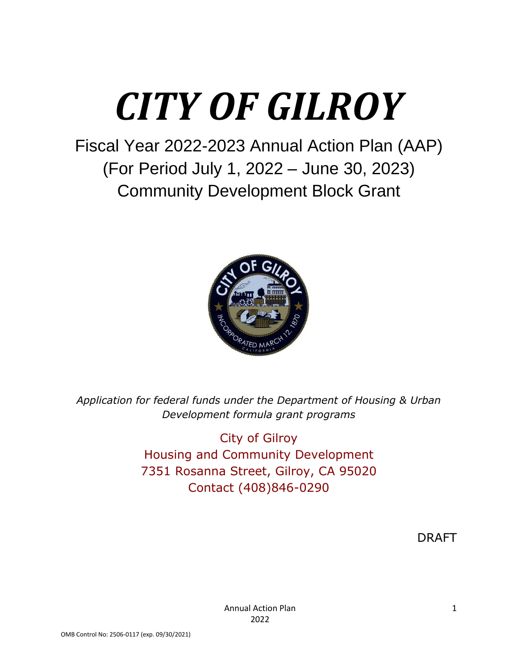# *CITY OF GILROY*

Fiscal Year 2022-2023 Annual Action Plan (AAP) (For Period July 1, 2022 – June 30, 2023) Community Development Block Grant



*Application for federal funds under the Department of Housing & Urban Development formula grant programs*

> City of Gilroy Housing and Community Development 7351 Rosanna Street, Gilroy, CA 95020 Contact (408)846-0290

> > DRAFT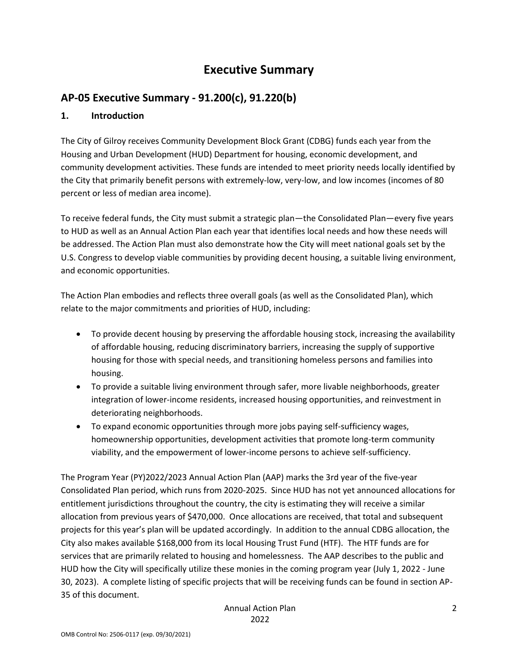# **Executive Summary**

# **AP-05 Executive Summary - 91.200(c), 91.220(b)**

#### **1. Introduction**

The City of Gilroy receives Community Development Block Grant (CDBG) funds each year from the Housing and Urban Development (HUD) Department for housing, economic development, and community development activities. These funds are intended to meet priority needs locally identified by the City that primarily benefit persons with extremely-low, very-low, and low incomes (incomes of 80 percent or less of median area income).

To receive federal funds, the City must submit a strategic plan—the Consolidated Plan—every five years to HUD as well as an Annual Action Plan each year that identifies local needs and how these needs will be addressed. The Action Plan must also demonstrate how the City will meet national goals set by the U.S. Congress to develop viable communities by providing decent housing, a suitable living environment, and economic opportunities.

The Action Plan embodies and reflects three overall goals (as well as the Consolidated Plan), which relate to the major commitments and priorities of HUD, including:

- To provide decent housing by preserving the affordable housing stock, increasing the availability of affordable housing, reducing discriminatory barriers, increasing the supply of supportive housing for those with special needs, and transitioning homeless persons and families into housing.
- To provide a suitable living environment through safer, more livable neighborhoods, greater integration of lower-income residents, increased housing opportunities, and reinvestment in deteriorating neighborhoods.
- To expand economic opportunities through more jobs paying self-sufficiency wages, homeownership opportunities, development activities that promote long-term community viability, and the empowerment of lower-income persons to achieve self-sufficiency.

The Program Year (PY)2022/2023 Annual Action Plan (AAP) marks the 3rd year of the five-year Consolidated Plan period, which runs from 2020-2025. Since HUD has not yet announced allocations for entitlement jurisdictions throughout the country, the city is estimating they will receive a similar allocation from previous years of \$470,000. Once allocations are received, that total and subsequent projects for this year's plan will be updated accordingly. In addition to the annual CDBG allocation, the City also makes available \$168,000 from its local Housing Trust Fund (HTF). The HTF funds are for services that are primarily related to housing and homelessness. The AAP describes to the public and HUD how the City will specifically utilize these monies in the coming program year (July 1, 2022 - June 30, 2023). A complete listing of specific projects that will be receiving funds can be found in section AP-35 of this document.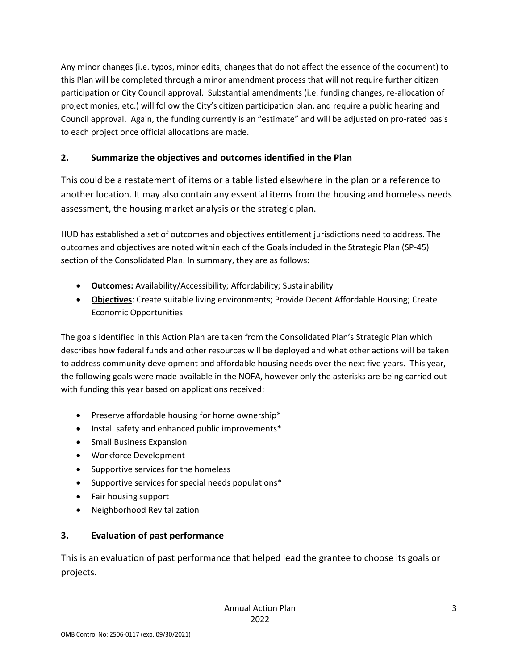Any minor changes (i.e. typos, minor edits, changes that do not affect the essence of the document) to this Plan will be completed through a minor amendment process that will not require further citizen participation or City Council approval. Substantial amendments (i.e. funding changes, re-allocation of project monies, etc.) will follow the City's citizen participation plan, and require a public hearing and Council approval. Again, the funding currently is an "estimate" and will be adjusted on pro-rated basis to each project once official allocations are made.

## **2. Summarize the objectives and outcomes identified in the Plan**

This could be a restatement of items or a table listed elsewhere in the plan or a reference to another location. It may also contain any essential items from the housing and homeless needs assessment, the housing market analysis or the strategic plan.

HUD has established a set of outcomes and objectives entitlement jurisdictions need to address. The outcomes and objectives are noted within each of the Goals included in the Strategic Plan (SP-45) section of the Consolidated Plan. In summary, they are as follows:

- **Outcomes:** Availability/Accessibility; Affordability; Sustainability
- **Objectives**: Create suitable living environments; Provide Decent Affordable Housing; Create Economic Opportunities

The goals identified in this Action Plan are taken from the Consolidated Plan's Strategic Plan which describes how federal funds and other resources will be deployed and what other actions will be taken to address community development and affordable housing needs over the next five years. This year, the following goals were made available in the NOFA, however only the asterisks are being carried out with funding this year based on applications received:

- Preserve affordable housing for home ownership\*
- Install safety and enhanced public improvements\*
- Small Business Expansion
- Workforce Development
- Supportive services for the homeless
- Supportive services for special needs populations\*
- Fair housing support
- Neighborhood Revitalization

## **3. Evaluation of past performance**

This is an evaluation of past performance that helped lead the grantee to choose its goals or projects.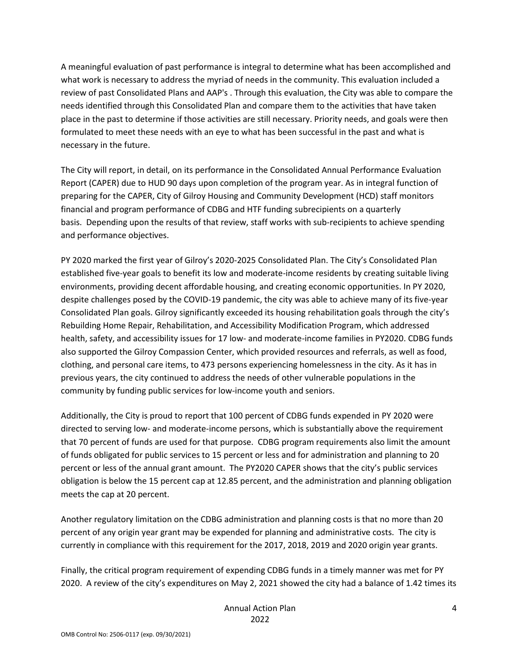A meaningful evaluation of past performance is integral to determine what has been accomplished and what work is necessary to address the myriad of needs in the community. This evaluation included a review of past Consolidated Plans and AAP's . Through this evaluation, the City was able to compare the needs identified through this Consolidated Plan and compare them to the activities that have taken place in the past to determine if those activities are still necessary. Priority needs, and goals were then formulated to meet these needs with an eye to what has been successful in the past and what is necessary in the future.

The City will report, in detail, on its performance in the Consolidated Annual Performance Evaluation Report (CAPER) due to HUD 90 days upon completion of the program year. As in integral function of preparing for the CAPER, City of Gilroy Housing and Community Development (HCD) staff monitors financial and program performance of CDBG and HTF funding subrecipients on a quarterly basis. Depending upon the results of that review, staff works with sub-recipients to achieve spending and performance objectives.

PY 2020 marked the first year of Gilroy's 2020-2025 Consolidated Plan. The City's Consolidated Plan established five-year goals to benefit its low and moderate-income residents by creating suitable living environments, providing decent affordable housing, and creating economic opportunities. In PY 2020, despite challenges posed by the COVID-19 pandemic, the city was able to achieve many of its five-year Consolidated Plan goals. Gilroy significantly exceeded its housing rehabilitation goals through the city's Rebuilding Home Repair, Rehabilitation, and Accessibility Modification Program, which addressed health, safety, and accessibility issues for 17 low- and moderate-income families in PY2020. CDBG funds also supported the Gilroy Compassion Center, which provided resources and referrals, as well as food, clothing, and personal care items, to 473 persons experiencing homelessness in the city. As it has in previous years, the city continued to address the needs of other vulnerable populations in the community by funding public services for low-income youth and seniors.

Additionally, the City is proud to report that 100 percent of CDBG funds expended in PY 2020 were directed to serving low- and moderate-income persons, which is substantially above the requirement that 70 percent of funds are used for that purpose. CDBG program requirements also limit the amount of funds obligated for public services to 15 percent or less and for administration and planning to 20 percent or less of the annual grant amount. The PY2020 CAPER shows that the city's public services obligation is below the 15 percent cap at 12.85 percent, and the administration and planning obligation meets the cap at 20 percent.

Another regulatory limitation on the CDBG administration and planning costs is that no more than 20 percent of any origin year grant may be expended for planning and administrative costs. The city is currently in compliance with this requirement for the 2017, 2018, 2019 and 2020 origin year grants.

Finally, the critical program requirement of expending CDBG funds in a timely manner was met for PY 2020. A review of the city's expenditures on May 2, 2021 showed the city had a balance of 1.42 times its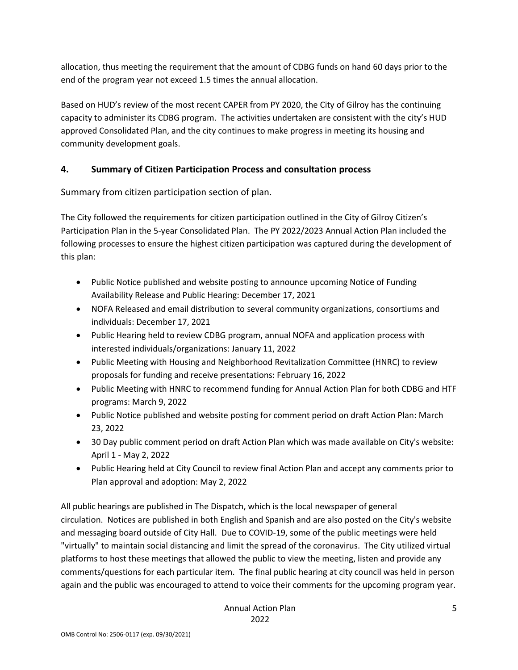allocation, thus meeting the requirement that the amount of CDBG funds on hand 60 days prior to the end of the program year not exceed 1.5 times the annual allocation.

Based on HUD's review of the most recent CAPER from PY 2020, the City of Gilroy has the continuing capacity to administer its CDBG program. The activities undertaken are consistent with the city's HUD approved Consolidated Plan, and the city continues to make progress in meeting its housing and community development goals.

#### **4. Summary of Citizen Participation Process and consultation process**

Summary from citizen participation section of plan.

The City followed the requirements for citizen participation outlined in the City of Gilroy Citizen's Participation Plan in the 5-year Consolidated Plan. The PY 2022/2023 Annual Action Plan included the following processes to ensure the highest citizen participation was captured during the development of this plan:

- Public Notice published and website posting to announce upcoming Notice of Funding Availability Release and Public Hearing: December 17, 2021
- NOFA Released and email distribution to several community organizations, consortiums and individuals: December 17, 2021
- Public Hearing held to review CDBG program, annual NOFA and application process with interested individuals/organizations: January 11, 2022
- Public Meeting with Housing and Neighborhood Revitalization Committee (HNRC) to review proposals for funding and receive presentations: February 16, 2022
- Public Meeting with HNRC to recommend funding for Annual Action Plan for both CDBG and HTF programs: March 9, 2022
- Public Notice published and website posting for comment period on draft Action Plan: March 23, 2022
- 30 Day public comment period on draft Action Plan which was made available on City's website: April 1 - May 2, 2022
- Public Hearing held at City Council to review final Action Plan and accept any comments prior to Plan approval and adoption: May 2, 2022

All public hearings are published in The Dispatch, which is the local newspaper of general circulation. Notices are published in both English and Spanish and are also posted on the City's website and messaging board outside of City Hall. Due to COVID-19, some of the public meetings were held "virtually" to maintain social distancing and limit the spread of the coronavirus. The City utilized virtual platforms to host these meetings that allowed the public to view the meeting, listen and provide any comments/questions for each particular item. The final public hearing at city council was held in person again and the public was encouraged to attend to voice their comments for the upcoming program year.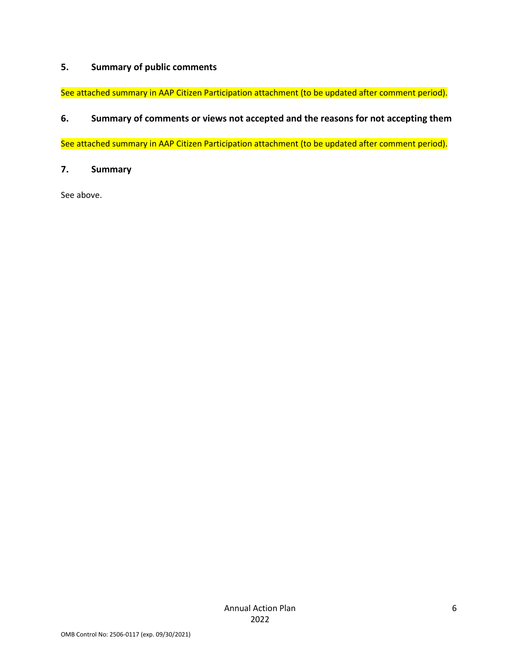## **5. Summary of public comments**

See attached summary in AAP Citizen Participation attachment (to be updated after comment period).

#### **6. Summary of comments or views not accepted and the reasons for not accepting them**

See attached summary in AAP Citizen Participation attachment (to be updated after comment period).

**7. Summary**

See above.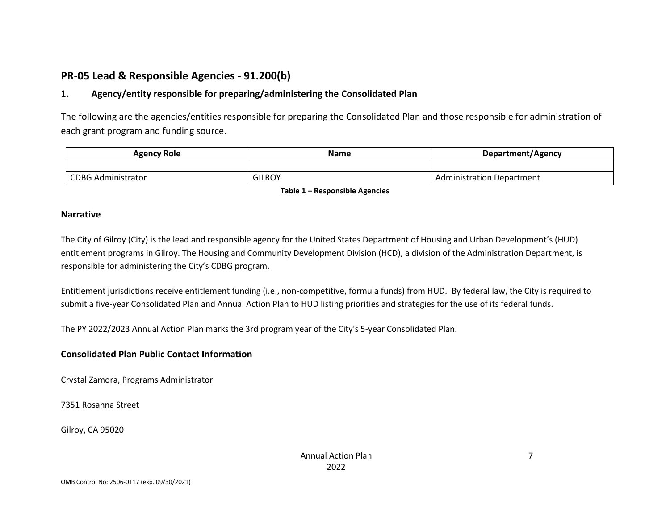# **PR-05 Lead & Responsible Agencies - 91.200(b)**

### **1. Agency/entity responsible for preparing/administering the Consolidated Plan**

The following are the agencies/entities responsible for preparing the Consolidated Plan and those responsible for administration of each grant program and funding source.

| <b>Agency Role</b>        | Name          | Department/Agency         |  |
|---------------------------|---------------|---------------------------|--|
|                           |               |                           |  |
| <b>CDBG Administrator</b> | <b>GILROY</b> | Administration Department |  |

**Table 1 – Responsible Agencies**

#### **Narrative**

The City of Gilroy (City) is the lead and responsible agency for the United States Department of Housing and Urban Development's (HUD) entitlement programs in Gilroy. The Housing and Community Development Division (HCD), a division of the Administration Department, is responsible for administering the City's CDBG program.

Entitlement jurisdictions receive entitlement funding (i.e., non-competitive, formula funds) from HUD. By federal law, the City is required to submit a five-year Consolidated Plan and Annual Action Plan to HUD listing priorities and strategies for the use of its federal funds.

The PY 2022/2023 Annual Action Plan marks the 3rd program year of the City's 5-year Consolidated Plan.

#### **Consolidated Plan Public Contact Information**

Crystal Zamora, Programs Administrator

7351 Rosanna Street

Gilroy, CA 95020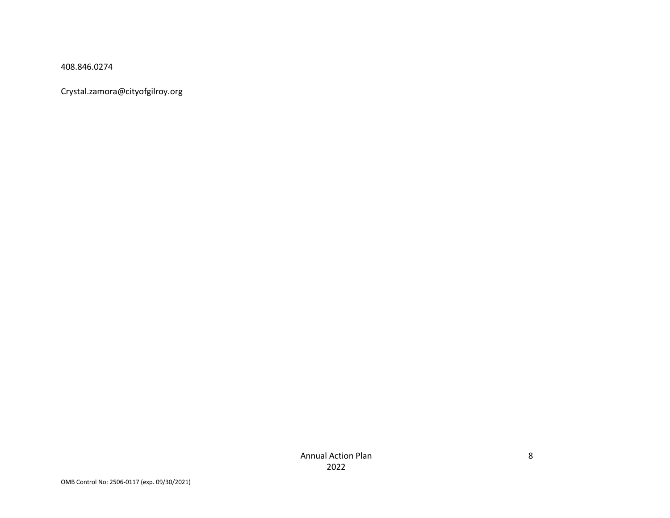408.846.0274

Crystal.zamora@cityofgilroy.org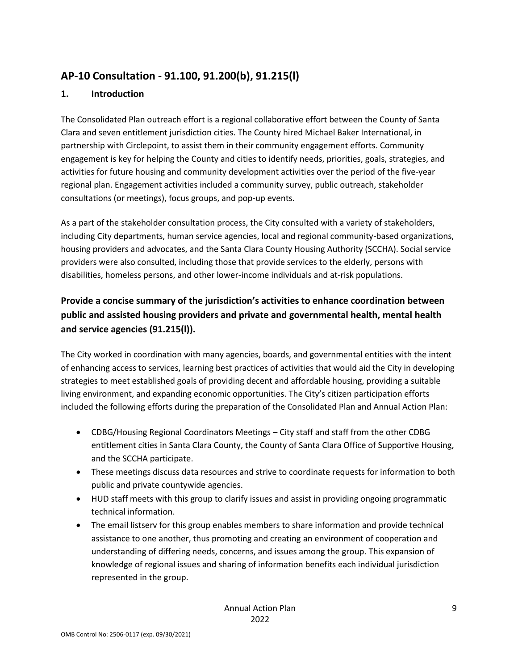# **AP-10 Consultation - 91.100, 91.200(b), 91.215(l)**

#### **1. Introduction**

The Consolidated Plan outreach effort is a regional collaborative effort between the County of Santa Clara and seven entitlement jurisdiction cities. The County hired Michael Baker International, in partnership with Circlepoint, to assist them in their community engagement efforts. Community engagement is key for helping the County and cities to identify needs, priorities, goals, strategies, and activities for future housing and community development activities over the period of the five-year regional plan. Engagement activities included a community survey, public outreach, stakeholder consultations (or meetings), focus groups, and pop-up events.

As a part of the stakeholder consultation process, the City consulted with a variety of stakeholders, including City departments, human service agencies, local and regional community-based organizations, housing providers and advocates, and the Santa Clara County Housing Authority (SCCHA). Social service providers were also consulted, including those that provide services to the elderly, persons with disabilities, homeless persons, and other lower-income individuals and at-risk populations.

# **Provide a concise summary of the jurisdiction's activities to enhance coordination between public and assisted housing providers and private and governmental health, mental health and service agencies (91.215(l)).**

The City worked in coordination with many agencies, boards, and governmental entities with the intent of enhancing access to services, learning best practices of activities that would aid the City in developing strategies to meet established goals of providing decent and affordable housing, providing a suitable living environment, and expanding economic opportunities. The City's citizen participation efforts included the following efforts during the preparation of the Consolidated Plan and Annual Action Plan:

- CDBG/Housing Regional Coordinators Meetings City staff and staff from the other CDBG entitlement cities in Santa Clara County, the County of Santa Clara Office of Supportive Housing, and the SCCHA participate.
- These meetings discuss data resources and strive to coordinate requests for information to both public and private countywide agencies.
- HUD staff meets with this group to clarify issues and assist in providing ongoing programmatic technical information.
- The email listserv for this group enables members to share information and provide technical assistance to one another, thus promoting and creating an environment of cooperation and understanding of differing needs, concerns, and issues among the group. This expansion of knowledge of regional issues and sharing of information benefits each individual jurisdiction represented in the group.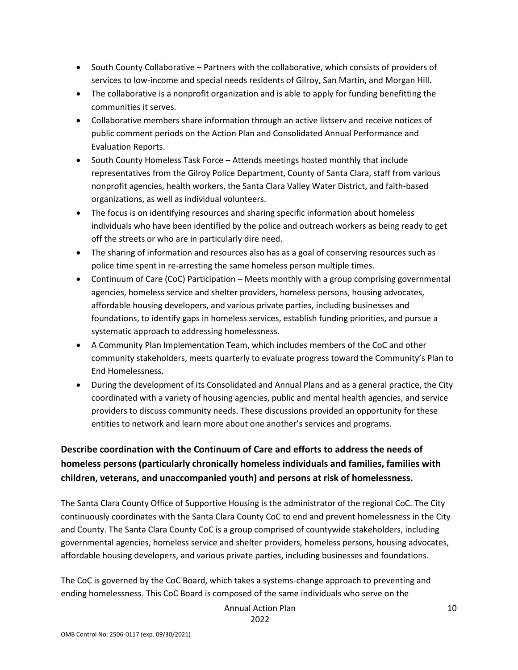- South County Collaborative Partners with the collaborative, which consists of providers of services to low-income and special needs residents of Gilroy, San Martin, and Morgan Hill.
- The collaborative is a nonprofit organization and is able to apply for funding benefitting the communities it serves.
- Collaborative members share information through an active listserv and receive notices of public comment periods on the Action Plan and Consolidated Annual Performance and Evaluation Reports.
- South County Homeless Task Force Attends meetings hosted monthly that include representatives from the Gilroy Police Department, County of Santa Clara, staff from various nonprofit agencies, health workers, the Santa Clara Valley Water District, and faith-based organizations, as well as individual volunteers.
- The focus is on identifying resources and sharing specific information about homeless individuals who have been identified by the police and outreach workers as being ready to get off the streets or who are in particularly dire need.
- The sharing of information and resources also has as a goal of conserving resources such as police time spent in re-arresting the same homeless person multiple times.
- Continuum of Care (CoC) Participation Meets monthly with a group comprising governmental agencies, homeless service and shelter providers, homeless persons, housing advocates, affordable housing developers, and various private parties, including businesses and foundations, to identify gaps in homeless services, establish funding priorities, and pursue a systematic approach to addressing homelessness.
- A Community Plan Implementation Team, which includes members of the CoC and other community stakeholders, meets quarterly to evaluate progress toward the Community's Plan to End Homelessness.
- During the development of its Consolidated and Annual Plans and as a general practice, the City coordinated with a variety of housing agencies, public and mental health agencies, and service providers to discuss community needs. These discussions provided an opportunity for these entities to network and learn more about one another's services and programs.

# **Describe coordination with the Continuum of Care and efforts to address the needs of homeless persons (particularly chronically homeless individuals and families, families with children, veterans, and unaccompanied youth) and persons at risk of homelessness.**

The Santa Clara County Office of Supportive Housing is the administrator of the regional CoC. The City continuously coordinates with the Santa Clara County CoC to end and prevent homelessness in the City and County. The Santa Clara County CoC is a group comprised of countywide stakeholders, including governmental agencies, homeless service and shelter providers, homeless persons, housing advocates, affordable housing developers, and various private parties, including businesses and foundations.

The CoC is governed by the CoC Board, which takes a systems-change approach to preventing and ending homelessness. This CoC Board is composed of the same individuals who serve on the

Annual Action Plan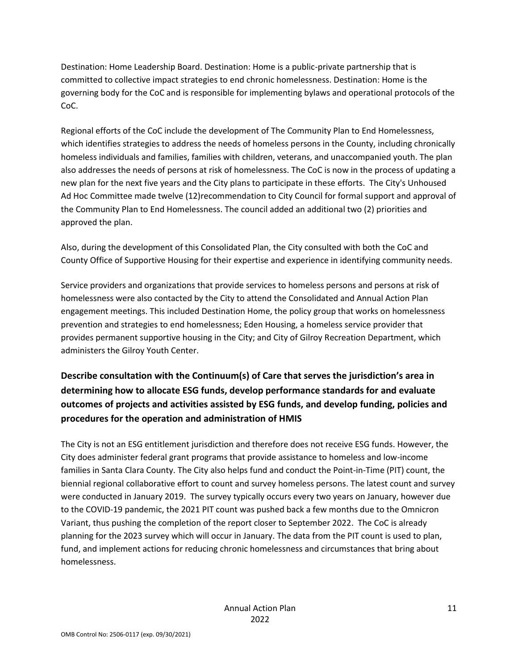Destination: Home Leadership Board. Destination: Home is a public-private partnership that is committed to collective impact strategies to end chronic homelessness. Destination: Home is the governing body for the CoC and is responsible for implementing bylaws and operational protocols of the CoC.

Regional efforts of the CoC include the development of The Community Plan to End Homelessness, which identifies strategies to address the needs of homeless persons in the County, including chronically homeless individuals and families, families with children, veterans, and unaccompanied youth. The plan also addresses the needs of persons at risk of homelessness. The CoC is now in the process of updating a new plan for the next five years and the City plans to participate in these efforts. The City's Unhoused Ad Hoc Committee made twelve (12)recommendation to City Council for formal support and approval of the Community Plan to End Homelessness. The council added an additional two (2) priorities and approved the plan.

Also, during the development of this Consolidated Plan, the City consulted with both the CoC and County Office of Supportive Housing for their expertise and experience in identifying community needs.

Service providers and organizations that provide services to homeless persons and persons at risk of homelessness were also contacted by the City to attend the Consolidated and Annual Action Plan engagement meetings. This included Destination Home, the policy group that works on homelessness prevention and strategies to end homelessness; Eden Housing, a homeless service provider that provides permanent supportive housing in the City; and City of Gilroy Recreation Department, which administers the Gilroy Youth Center.

# **Describe consultation with the Continuum(s) of Care that serves the jurisdiction's area in determining how to allocate ESG funds, develop performance standards for and evaluate outcomes of projects and activities assisted by ESG funds, and develop funding, policies and procedures for the operation and administration of HMIS**

The City is not an ESG entitlement jurisdiction and therefore does not receive ESG funds. However, the City does administer federal grant programs that provide assistance to homeless and low-income families in Santa Clara County. The City also helps fund and conduct the Point-in-Time (PIT) count, the biennial regional collaborative effort to count and survey homeless persons. The latest count and survey were conducted in January 2019. The survey typically occurs every two years on January, however due to the COVID-19 pandemic, the 2021 PIT count was pushed back a few months due to the Omnicron Variant, thus pushing the completion of the report closer to September 2022. The CoC is already planning for the 2023 survey which will occur in January. The data from the PIT count is used to plan, fund, and implement actions for reducing chronic homelessness and circumstances that bring about homelessness.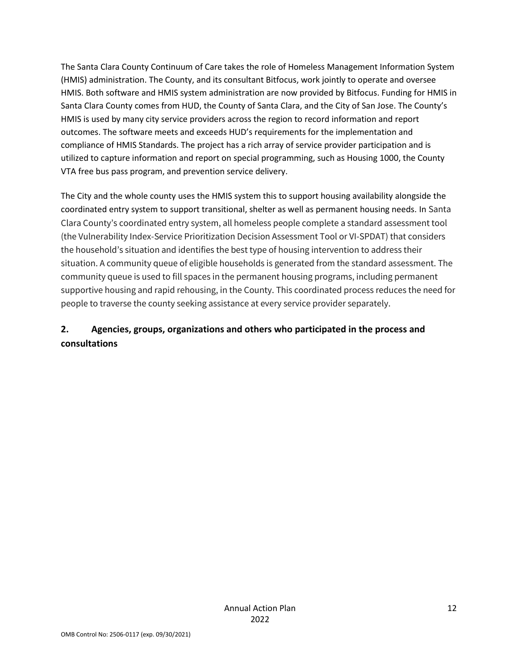The Santa Clara County Continuum of Care takes the role of Homeless Management Information System (HMIS) administration. The County, and its consultant Bitfocus, work jointly to operate and oversee HMIS. Both software and HMIS system administration are now provided by Bitfocus. Funding for HMIS in Santa Clara County comes from HUD, the County of Santa Clara, and the City of San Jose. The County's HMIS is used by many city service providers across the region to record information and report outcomes. The software meets and exceeds HUD's requirements for the implementation and compliance of HMIS Standards. The project has a rich array of service provider participation and is utilized to capture information and report on special programming, such as Housing 1000, the County VTA free bus pass program, and prevention service delivery.

The City and the whole county uses the HMIS system this to support housing availability alongside the coordinated entry system to support transitional, shelter as well as permanent housing needs. In Santa Clara County's coordinated entry system, all homeless people complete a standard assessment tool (the Vulnerability Index-Service Prioritization Decision Assessment Tool or VI-SPDAT) that considers the household's situation and identifies the best type of housing intervention to address their situation. A community queue of eligible households is generated from the standard assessment. The community queue is used to fill spaces in the permanent housing programs, including permanent supportive housing and rapid rehousing, in the County. This coordinated process reduces the need for people to traverse the county seeking assistance at every service provider separately.

# **2. Agencies, groups, organizations and others who participated in the process and consultations**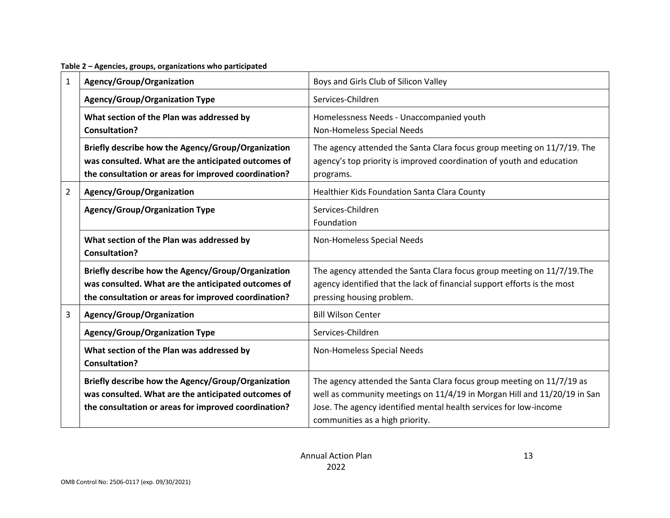**Table 2 – Agencies, groups, organizations who participated**

| 1              | Agency/Group/Organization                                                                                                                                         | Boys and Girls Club of Silicon Valley                                                                                                                                                                                                                     |  |  |  |  |
|----------------|-------------------------------------------------------------------------------------------------------------------------------------------------------------------|-----------------------------------------------------------------------------------------------------------------------------------------------------------------------------------------------------------------------------------------------------------|--|--|--|--|
|                | Agency/Group/Organization Type                                                                                                                                    | Services-Children                                                                                                                                                                                                                                         |  |  |  |  |
|                | What section of the Plan was addressed by<br><b>Consultation?</b>                                                                                                 | Homelessness Needs - Unaccompanied youth<br>Non-Homeless Special Needs                                                                                                                                                                                    |  |  |  |  |
|                | Briefly describe how the Agency/Group/Organization<br>was consulted. What are the anticipated outcomes of<br>the consultation or areas for improved coordination? | The agency attended the Santa Clara focus group meeting on 11/7/19. The<br>agency's top priority is improved coordination of youth and education<br>programs.                                                                                             |  |  |  |  |
| $\overline{2}$ | Agency/Group/Organization                                                                                                                                         | Healthier Kids Foundation Santa Clara County                                                                                                                                                                                                              |  |  |  |  |
|                | <b>Agency/Group/Organization Type</b>                                                                                                                             | Services-Children<br>Foundation                                                                                                                                                                                                                           |  |  |  |  |
|                | What section of the Plan was addressed by<br><b>Consultation?</b>                                                                                                 | Non-Homeless Special Needs                                                                                                                                                                                                                                |  |  |  |  |
|                | Briefly describe how the Agency/Group/Organization<br>was consulted. What are the anticipated outcomes of<br>the consultation or areas for improved coordination? | The agency attended the Santa Clara focus group meeting on 11/7/19. The<br>agency identified that the lack of financial support efforts is the most<br>pressing housing problem.                                                                          |  |  |  |  |
| 3              | Agency/Group/Organization                                                                                                                                         | <b>Bill Wilson Center</b>                                                                                                                                                                                                                                 |  |  |  |  |
|                | <b>Agency/Group/Organization Type</b>                                                                                                                             | Services-Children                                                                                                                                                                                                                                         |  |  |  |  |
|                | What section of the Plan was addressed by<br><b>Consultation?</b>                                                                                                 | Non-Homeless Special Needs                                                                                                                                                                                                                                |  |  |  |  |
|                | Briefly describe how the Agency/Group/Organization<br>was consulted. What are the anticipated outcomes of<br>the consultation or areas for improved coordination? | The agency attended the Santa Clara focus group meeting on 11/7/19 as<br>well as community meetings on 11/4/19 in Morgan Hill and 11/20/19 in San<br>Jose. The agency identified mental health services for low-income<br>communities as a high priority. |  |  |  |  |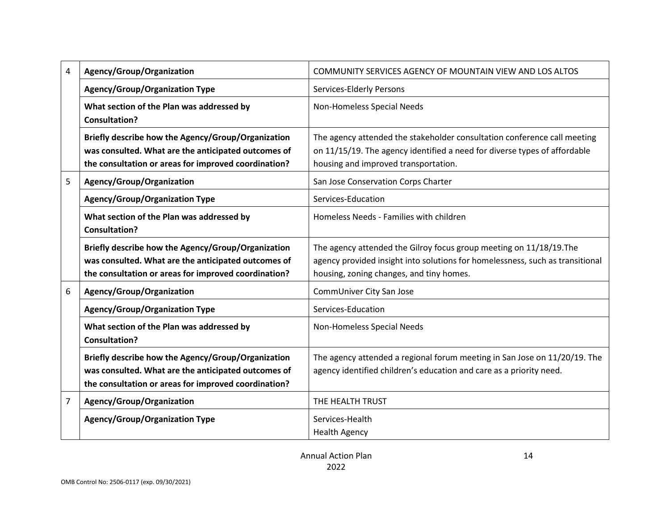| 4                                                                     | Agency/Group/Organization                                                                                                                                         | COMMUNITY SERVICES AGENCY OF MOUNTAIN VIEW AND LOS ALTOS                                                                                                                                         |  |  |
|-----------------------------------------------------------------------|-------------------------------------------------------------------------------------------------------------------------------------------------------------------|--------------------------------------------------------------------------------------------------------------------------------------------------------------------------------------------------|--|--|
|                                                                       | <b>Agency/Group/Organization Type</b>                                                                                                                             | Services-Elderly Persons                                                                                                                                                                         |  |  |
|                                                                       | What section of the Plan was addressed by<br><b>Consultation?</b>                                                                                                 | Non-Homeless Special Needs                                                                                                                                                                       |  |  |
|                                                                       | Briefly describe how the Agency/Group/Organization<br>was consulted. What are the anticipated outcomes of<br>the consultation or areas for improved coordination? | The agency attended the stakeholder consultation conference call meeting<br>on 11/15/19. The agency identified a need for diverse types of affordable<br>housing and improved transportation.    |  |  |
| 5<br>Agency/Group/Organization<br>San Jose Conservation Corps Charter |                                                                                                                                                                   |                                                                                                                                                                                                  |  |  |
|                                                                       | <b>Agency/Group/Organization Type</b>                                                                                                                             | Services-Education                                                                                                                                                                               |  |  |
|                                                                       | What section of the Plan was addressed by<br><b>Consultation?</b>                                                                                                 | Homeless Needs - Families with children                                                                                                                                                          |  |  |
|                                                                       | Briefly describe how the Agency/Group/Organization<br>was consulted. What are the anticipated outcomes of<br>the consultation or areas for improved coordination? | The agency attended the Gilroy focus group meeting on 11/18/19. The<br>agency provided insight into solutions for homelessness, such as transitional<br>housing, zoning changes, and tiny homes. |  |  |
| 6                                                                     | Agency/Group/Organization                                                                                                                                         | CommUniver City San Jose                                                                                                                                                                         |  |  |
|                                                                       | <b>Agency/Group/Organization Type</b>                                                                                                                             | Services-Education                                                                                                                                                                               |  |  |
|                                                                       | What section of the Plan was addressed by<br><b>Consultation?</b>                                                                                                 | Non-Homeless Special Needs                                                                                                                                                                       |  |  |
|                                                                       | Briefly describe how the Agency/Group/Organization<br>was consulted. What are the anticipated outcomes of<br>the consultation or areas for improved coordination? | The agency attended a regional forum meeting in San Jose on 11/20/19. The<br>agency identified children's education and care as a priority need.                                                 |  |  |
| 7                                                                     | Agency/Group/Organization                                                                                                                                         | THE HEALTH TRUST                                                                                                                                                                                 |  |  |
|                                                                       | <b>Agency/Group/Organization Type</b>                                                                                                                             | Services-Health<br><b>Health Agency</b>                                                                                                                                                          |  |  |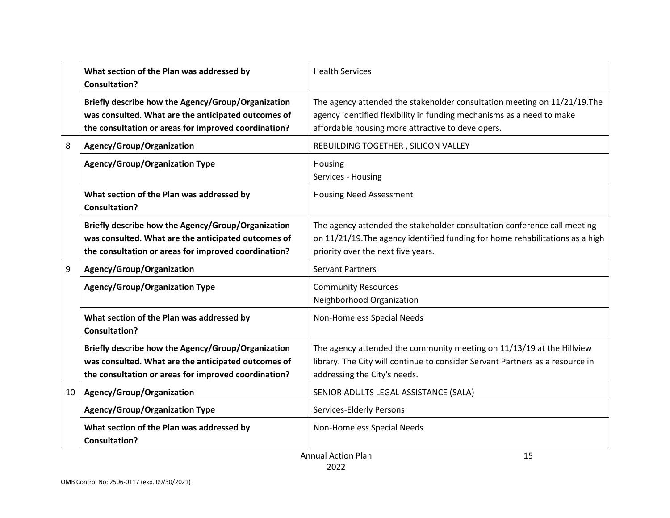|    | What section of the Plan was addressed by<br><b>Consultation?</b>                                                                                                 | <b>Health Services</b>                                                                                                                                                                                  |  |  |
|----|-------------------------------------------------------------------------------------------------------------------------------------------------------------------|---------------------------------------------------------------------------------------------------------------------------------------------------------------------------------------------------------|--|--|
|    | Briefly describe how the Agency/Group/Organization<br>was consulted. What are the anticipated outcomes of<br>the consultation or areas for improved coordination? | The agency attended the stakeholder consultation meeting on 11/21/19. The<br>agency identified flexibility in funding mechanisms as a need to make<br>affordable housing more attractive to developers. |  |  |
| 8  | Agency/Group/Organization                                                                                                                                         | REBUILDING TOGETHER, SILICON VALLEY                                                                                                                                                                     |  |  |
|    | Agency/Group/Organization Type                                                                                                                                    | Housing<br>Services - Housing                                                                                                                                                                           |  |  |
|    | What section of the Plan was addressed by<br><b>Consultation?</b>                                                                                                 | <b>Housing Need Assessment</b>                                                                                                                                                                          |  |  |
|    | Briefly describe how the Agency/Group/Organization<br>was consulted. What are the anticipated outcomes of<br>the consultation or areas for improved coordination? | The agency attended the stakeholder consultation conference call meeting<br>on 11/21/19. The agency identified funding for home rehabilitations as a high<br>priority over the next five years.         |  |  |
| 9  | Agency/Group/Organization                                                                                                                                         | <b>Servant Partners</b>                                                                                                                                                                                 |  |  |
|    | <b>Agency/Group/Organization Type</b>                                                                                                                             | <b>Community Resources</b><br>Neighborhood Organization                                                                                                                                                 |  |  |
|    | What section of the Plan was addressed by<br><b>Consultation?</b>                                                                                                 | Non-Homeless Special Needs                                                                                                                                                                              |  |  |
|    | Briefly describe how the Agency/Group/Organization<br>was consulted. What are the anticipated outcomes of<br>the consultation or areas for improved coordination? | The agency attended the community meeting on 11/13/19 at the Hillview<br>library. The City will continue to consider Servant Partners as a resource in<br>addressing the City's needs.                  |  |  |
| 10 | Agency/Group/Organization                                                                                                                                         | SENIOR ADULTS LEGAL ASSISTANCE (SALA)                                                                                                                                                                   |  |  |
|    | Agency/Group/Organization Type                                                                                                                                    | Services-Elderly Persons                                                                                                                                                                                |  |  |
|    | What section of the Plan was addressed by<br><b>Consultation?</b>                                                                                                 | Non-Homeless Special Needs                                                                                                                                                                              |  |  |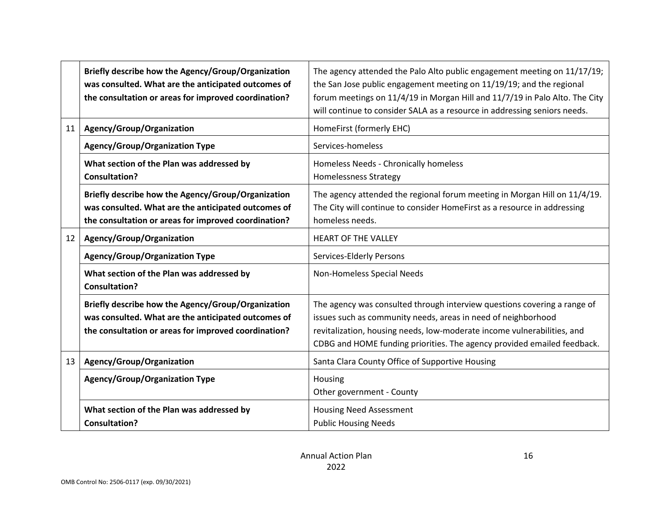|                 | Briefly describe how the Agency/Group/Organization<br>was consulted. What are the anticipated outcomes of<br>the consultation or areas for improved coordination? | The agency attended the Palo Alto public engagement meeting on 11/17/19;<br>the San Jose public engagement meeting on 11/19/19; and the regional<br>forum meetings on 11/4/19 in Morgan Hill and 11/7/19 in Palo Alto. The City<br>will continue to consider SALA as a resource in addressing seniors needs. |  |  |
|-----------------|-------------------------------------------------------------------------------------------------------------------------------------------------------------------|--------------------------------------------------------------------------------------------------------------------------------------------------------------------------------------------------------------------------------------------------------------------------------------------------------------|--|--|
| 11              | Agency/Group/Organization                                                                                                                                         | HomeFirst (formerly EHC)                                                                                                                                                                                                                                                                                     |  |  |
|                 | <b>Agency/Group/Organization Type</b>                                                                                                                             | Services-homeless                                                                                                                                                                                                                                                                                            |  |  |
|                 | What section of the Plan was addressed by<br><b>Consultation?</b>                                                                                                 | Homeless Needs - Chronically homeless<br><b>Homelessness Strategy</b>                                                                                                                                                                                                                                        |  |  |
|                 | Briefly describe how the Agency/Group/Organization<br>was consulted. What are the anticipated outcomes of<br>the consultation or areas for improved coordination? | The agency attended the regional forum meeting in Morgan Hill on 11/4/19.<br>The City will continue to consider HomeFirst as a resource in addressing<br>homeless needs.                                                                                                                                     |  |  |
| 12 <sup>2</sup> | Agency/Group/Organization                                                                                                                                         | <b>HEART OF THE VALLEY</b>                                                                                                                                                                                                                                                                                   |  |  |
|                 | <b>Agency/Group/Organization Type</b>                                                                                                                             | Services-Elderly Persons                                                                                                                                                                                                                                                                                     |  |  |
|                 | What section of the Plan was addressed by<br><b>Consultation?</b>                                                                                                 | Non-Homeless Special Needs                                                                                                                                                                                                                                                                                   |  |  |
|                 | Briefly describe how the Agency/Group/Organization<br>was consulted. What are the anticipated outcomes of<br>the consultation or areas for improved coordination? | The agency was consulted through interview questions covering a range of<br>issues such as community needs, areas in need of neighborhood<br>revitalization, housing needs, low-moderate income vulnerabilities, and<br>CDBG and HOME funding priorities. The agency provided emailed feedback.              |  |  |
| 13              | Agency/Group/Organization                                                                                                                                         | Santa Clara County Office of Supportive Housing                                                                                                                                                                                                                                                              |  |  |
|                 | <b>Agency/Group/Organization Type</b>                                                                                                                             | Housing<br>Other government - County                                                                                                                                                                                                                                                                         |  |  |
|                 | What section of the Plan was addressed by<br><b>Consultation?</b>                                                                                                 | <b>Housing Need Assessment</b><br><b>Public Housing Needs</b>                                                                                                                                                                                                                                                |  |  |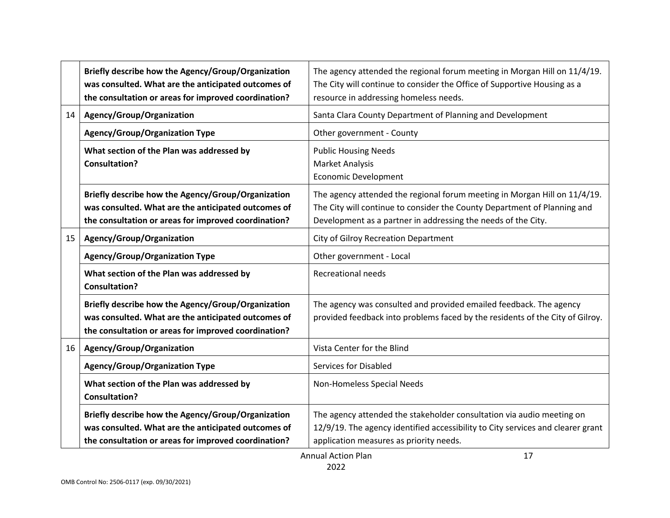| Agency/Group/Organization<br>Santa Clara County Department of Planning and Development<br>14<br><b>Agency/Group/Organization Type</b><br>Other government - County<br>What section of the Plan was addressed by<br><b>Public Housing Needs</b><br><b>Consultation?</b><br><b>Market Analysis</b><br><b>Economic Development</b><br>Briefly describe how the Agency/Group/Organization<br>The agency attended the regional forum meeting in Morgan Hill on 11/4/19.<br>The City will continue to consider the County Department of Planning and<br>was consulted. What are the anticipated outcomes of<br>the consultation or areas for improved coordination?<br>Development as a partner in addressing the needs of the City.<br>Agency/Group/Organization<br>City of Gilroy Recreation Department<br>15<br><b>Agency/Group/Organization Type</b><br>Other government - Local<br>What section of the Plan was addressed by<br><b>Recreational needs</b><br><b>Consultation?</b><br>Briefly describe how the Agency/Group/Organization<br>The agency was consulted and provided emailed feedback. The agency<br>was consulted. What are the anticipated outcomes of<br>provided feedback into problems faced by the residents of the City of Gilroy.<br>the consultation or areas for improved coordination?<br>Agency/Group/Organization<br>Vista Center for the Blind<br>16 <sup>1</sup><br><b>Agency/Group/Organization Type</b><br><b>Services for Disabled</b><br>What section of the Plan was addressed by<br>Non-Homeless Special Needs<br><b>Consultation?</b><br>Briefly describe how the Agency/Group/Organization<br>The agency attended the stakeholder consultation via audio meeting on<br>was consulted. What are the anticipated outcomes of<br>12/9/19. The agency identified accessibility to City services and clearer grant<br>the consultation or areas for improved coordination?<br>application measures as priority needs. | Briefly describe how the Agency/Group/Organization<br>was consulted. What are the anticipated outcomes of<br>the consultation or areas for improved coordination? | The agency attended the regional forum meeting in Morgan Hill on 11/4/19.<br>The City will continue to consider the Office of Supportive Housing as a<br>resource in addressing homeless needs. |  |  |  |
|----------------------------------------------------------------------------------------------------------------------------------------------------------------------------------------------------------------------------------------------------------------------------------------------------------------------------------------------------------------------------------------------------------------------------------------------------------------------------------------------------------------------------------------------------------------------------------------------------------------------------------------------------------------------------------------------------------------------------------------------------------------------------------------------------------------------------------------------------------------------------------------------------------------------------------------------------------------------------------------------------------------------------------------------------------------------------------------------------------------------------------------------------------------------------------------------------------------------------------------------------------------------------------------------------------------------------------------------------------------------------------------------------------------------------------------------------------------------------------------------------------------------------------------------------------------------------------------------------------------------------------------------------------------------------------------------------------------------------------------------------------------------------------------------------------------------------------------------------------------------------------------------------------------------------------------------------|-------------------------------------------------------------------------------------------------------------------------------------------------------------------|-------------------------------------------------------------------------------------------------------------------------------------------------------------------------------------------------|--|--|--|
|                                                                                                                                                                                                                                                                                                                                                                                                                                                                                                                                                                                                                                                                                                                                                                                                                                                                                                                                                                                                                                                                                                                                                                                                                                                                                                                                                                                                                                                                                                                                                                                                                                                                                                                                                                                                                                                                                                                                                    |                                                                                                                                                                   |                                                                                                                                                                                                 |  |  |  |
|                                                                                                                                                                                                                                                                                                                                                                                                                                                                                                                                                                                                                                                                                                                                                                                                                                                                                                                                                                                                                                                                                                                                                                                                                                                                                                                                                                                                                                                                                                                                                                                                                                                                                                                                                                                                                                                                                                                                                    |                                                                                                                                                                   |                                                                                                                                                                                                 |  |  |  |
|                                                                                                                                                                                                                                                                                                                                                                                                                                                                                                                                                                                                                                                                                                                                                                                                                                                                                                                                                                                                                                                                                                                                                                                                                                                                                                                                                                                                                                                                                                                                                                                                                                                                                                                                                                                                                                                                                                                                                    |                                                                                                                                                                   |                                                                                                                                                                                                 |  |  |  |
|                                                                                                                                                                                                                                                                                                                                                                                                                                                                                                                                                                                                                                                                                                                                                                                                                                                                                                                                                                                                                                                                                                                                                                                                                                                                                                                                                                                                                                                                                                                                                                                                                                                                                                                                                                                                                                                                                                                                                    |                                                                                                                                                                   |                                                                                                                                                                                                 |  |  |  |
|                                                                                                                                                                                                                                                                                                                                                                                                                                                                                                                                                                                                                                                                                                                                                                                                                                                                                                                                                                                                                                                                                                                                                                                                                                                                                                                                                                                                                                                                                                                                                                                                                                                                                                                                                                                                                                                                                                                                                    |                                                                                                                                                                   |                                                                                                                                                                                                 |  |  |  |
|                                                                                                                                                                                                                                                                                                                                                                                                                                                                                                                                                                                                                                                                                                                                                                                                                                                                                                                                                                                                                                                                                                                                                                                                                                                                                                                                                                                                                                                                                                                                                                                                                                                                                                                                                                                                                                                                                                                                                    |                                                                                                                                                                   |                                                                                                                                                                                                 |  |  |  |
|                                                                                                                                                                                                                                                                                                                                                                                                                                                                                                                                                                                                                                                                                                                                                                                                                                                                                                                                                                                                                                                                                                                                                                                                                                                                                                                                                                                                                                                                                                                                                                                                                                                                                                                                                                                                                                                                                                                                                    |                                                                                                                                                                   |                                                                                                                                                                                                 |  |  |  |
|                                                                                                                                                                                                                                                                                                                                                                                                                                                                                                                                                                                                                                                                                                                                                                                                                                                                                                                                                                                                                                                                                                                                                                                                                                                                                                                                                                                                                                                                                                                                                                                                                                                                                                                                                                                                                                                                                                                                                    |                                                                                                                                                                   |                                                                                                                                                                                                 |  |  |  |
|                                                                                                                                                                                                                                                                                                                                                                                                                                                                                                                                                                                                                                                                                                                                                                                                                                                                                                                                                                                                                                                                                                                                                                                                                                                                                                                                                                                                                                                                                                                                                                                                                                                                                                                                                                                                                                                                                                                                                    |                                                                                                                                                                   |                                                                                                                                                                                                 |  |  |  |
|                                                                                                                                                                                                                                                                                                                                                                                                                                                                                                                                                                                                                                                                                                                                                                                                                                                                                                                                                                                                                                                                                                                                                                                                                                                                                                                                                                                                                                                                                                                                                                                                                                                                                                                                                                                                                                                                                                                                                    |                                                                                                                                                                   |                                                                                                                                                                                                 |  |  |  |
|                                                                                                                                                                                                                                                                                                                                                                                                                                                                                                                                                                                                                                                                                                                                                                                                                                                                                                                                                                                                                                                                                                                                                                                                                                                                                                                                                                                                                                                                                                                                                                                                                                                                                                                                                                                                                                                                                                                                                    |                                                                                                                                                                   |                                                                                                                                                                                                 |  |  |  |
|                                                                                                                                                                                                                                                                                                                                                                                                                                                                                                                                                                                                                                                                                                                                                                                                                                                                                                                                                                                                                                                                                                                                                                                                                                                                                                                                                                                                                                                                                                                                                                                                                                                                                                                                                                                                                                                                                                                                                    |                                                                                                                                                                   | <b>Annual Action Plan</b><br>17                                                                                                                                                                 |  |  |  |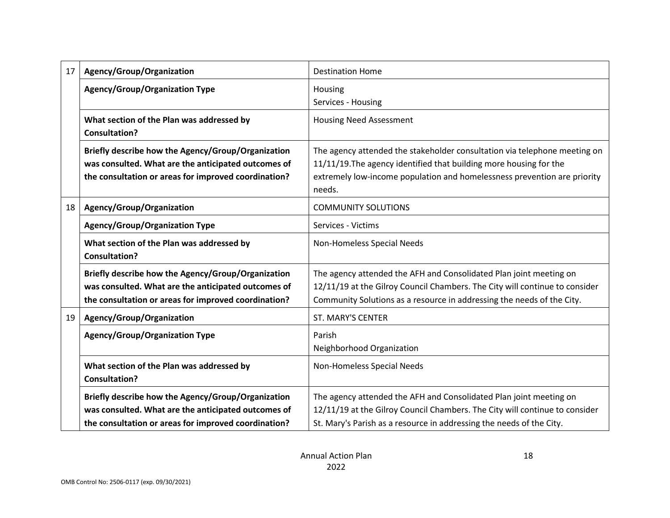| 17 | Agency/Group/Organization                                         | <b>Destination Home</b>                                                            |  |  |  |
|----|-------------------------------------------------------------------|------------------------------------------------------------------------------------|--|--|--|
|    | <b>Agency/Group/Organization Type</b>                             | Housing                                                                            |  |  |  |
|    |                                                                   | Services - Housing                                                                 |  |  |  |
|    | What section of the Plan was addressed by<br><b>Consultation?</b> | <b>Housing Need Assessment</b>                                                     |  |  |  |
|    | Briefly describe how the Agency/Group/Organization                | The agency attended the stakeholder consultation via telephone meeting on          |  |  |  |
|    | was consulted. What are the anticipated outcomes of               | 11/11/19. The agency identified that building more housing for the                 |  |  |  |
|    | the consultation or areas for improved coordination?              | extremely low-income population and homelessness prevention are priority<br>needs. |  |  |  |
| 18 | Agency/Group/Organization                                         | <b>COMMUNITY SOLUTIONS</b>                                                         |  |  |  |
|    | <b>Agency/Group/Organization Type</b>                             | Services - Victims                                                                 |  |  |  |
|    | What section of the Plan was addressed by                         | Non-Homeless Special Needs                                                         |  |  |  |
|    | <b>Consultation?</b>                                              |                                                                                    |  |  |  |
|    | Briefly describe how the Agency/Group/Organization                | The agency attended the AFH and Consolidated Plan joint meeting on                 |  |  |  |
|    | was consulted. What are the anticipated outcomes of               | 12/11/19 at the Gilroy Council Chambers. The City will continue to consider        |  |  |  |
|    | the consultation or areas for improved coordination?              | Community Solutions as a resource in addressing the needs of the City.             |  |  |  |
| 19 | Agency/Group/Organization                                         | <b>ST. MARY'S CENTER</b>                                                           |  |  |  |
|    | <b>Agency/Group/Organization Type</b>                             | Parish                                                                             |  |  |  |
|    |                                                                   | Neighborhood Organization                                                          |  |  |  |
|    | What section of the Plan was addressed by                         | Non-Homeless Special Needs                                                         |  |  |  |
|    | <b>Consultation?</b>                                              |                                                                                    |  |  |  |
|    | Briefly describe how the Agency/Group/Organization                | The agency attended the AFH and Consolidated Plan joint meeting on                 |  |  |  |
|    | was consulted. What are the anticipated outcomes of               | 12/11/19 at the Gilroy Council Chambers. The City will continue to consider        |  |  |  |
|    | the consultation or areas for improved coordination?              | St. Mary's Parish as a resource in addressing the needs of the City.               |  |  |  |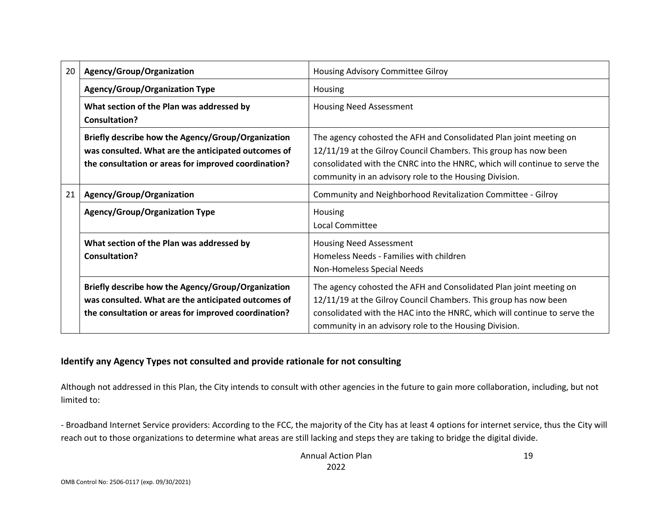| 20 | Agency/Group/Organization                                                                                                                                         | Housing Advisory Committee Gilroy                                                                                                                                                                                                                                              |  |  |  |
|----|-------------------------------------------------------------------------------------------------------------------------------------------------------------------|--------------------------------------------------------------------------------------------------------------------------------------------------------------------------------------------------------------------------------------------------------------------------------|--|--|--|
|    | <b>Agency/Group/Organization Type</b>                                                                                                                             | <b>Housing</b>                                                                                                                                                                                                                                                                 |  |  |  |
|    | What section of the Plan was addressed by<br>Consultation?                                                                                                        | <b>Housing Need Assessment</b>                                                                                                                                                                                                                                                 |  |  |  |
|    | Briefly describe how the Agency/Group/Organization<br>was consulted. What are the anticipated outcomes of<br>the consultation or areas for improved coordination? | The agency cohosted the AFH and Consolidated Plan joint meeting on<br>12/11/19 at the Gilroy Council Chambers. This group has now been<br>consolidated with the CNRC into the HNRC, which will continue to serve the<br>community in an advisory role to the Housing Division. |  |  |  |
| 21 | Agency/Group/Organization                                                                                                                                         | Community and Neighborhood Revitalization Committee - Gilroy                                                                                                                                                                                                                   |  |  |  |
|    | <b>Agency/Group/Organization Type</b>                                                                                                                             | <b>Housing</b><br>Local Committee                                                                                                                                                                                                                                              |  |  |  |
|    | What section of the Plan was addressed by<br>Consultation?                                                                                                        | <b>Housing Need Assessment</b><br>Homeless Needs - Families with children<br>Non-Homeless Special Needs                                                                                                                                                                        |  |  |  |
|    | Briefly describe how the Agency/Group/Organization<br>was consulted. What are the anticipated outcomes of<br>the consultation or areas for improved coordination? | The agency cohosted the AFH and Consolidated Plan joint meeting on<br>12/11/19 at the Gilroy Council Chambers. This group has now been<br>consolidated with the HAC into the HNRC, which will continue to serve the<br>community in an advisory role to the Housing Division.  |  |  |  |

#### **Identify any Agency Types not consulted and provide rationale for not consulting**

Although not addressed in this Plan, the City intends to consult with other agencies in the future to gain more collaboration, including, but not limited to:

- Broadband Internet Service providers: According to the FCC, the majority of the City has at least 4 options for internet service, thus the City will reach out to those organizations to determine what areas are still lacking and steps they are taking to bridge the digital divide.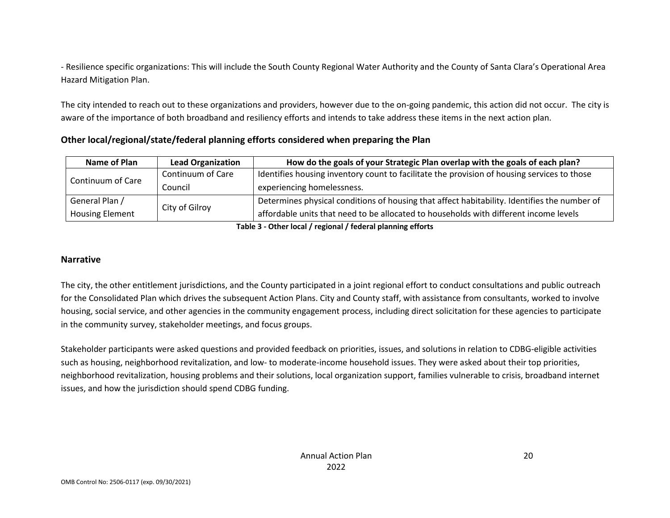- Resilience specific organizations: This will include the South County Regional Water Authority and the County of Santa Clara's Operational Area Hazard Mitigation Plan.

The city intended to reach out to these organizations and providers, however due to the on-going pandemic, this action did not occur. The city is aware of the importance of both broadband and resiliency efforts and intends to take address these items in the next action plan.

**Other local/regional/state/federal planning efforts considered when preparing the Plan**

| Name of Plan<br><b>Lead Organization</b> |                   | How do the goals of your Strategic Plan overlap with the goals of each plan?                         |  |
|------------------------------------------|-------------------|------------------------------------------------------------------------------------------------------|--|
| Continuum of Care                        | Continuum of Care | Identifies housing inventory count to facilitate the provision of housing services to those          |  |
|                                          | Council           | experiencing homelessness.                                                                           |  |
| General Plan /                           |                   | $\perp$ Determines physical conditions of housing that affect habitability. Identifies the number of |  |
| <b>Housing Element</b>                   | City of Gilroy    | affordable units that need to be allocated to households with different income levels                |  |

**Table 3 - Other local / regional / federal planning efforts**

#### **Narrative**

The city, the other entitlement jurisdictions, and the County participated in a joint regional effort to conduct consultations and public outreach for the Consolidated Plan which drives the subsequent Action Plans. City and County staff, with assistance from consultants, worked to involve housing, social service, and other agencies in the community engagement process, including direct solicitation for these agencies to participate in the community survey, stakeholder meetings, and focus groups.

Stakeholder participants were asked questions and provided feedback on priorities, issues, and solutions in relation to CDBG-eligible activities such as housing, neighborhood revitalization, and low- to moderate-income household issues. They were asked about their top priorities, neighborhood revitalization, housing problems and their solutions, local organization support, families vulnerable to crisis, broadband internet issues, and how the jurisdiction should spend CDBG funding.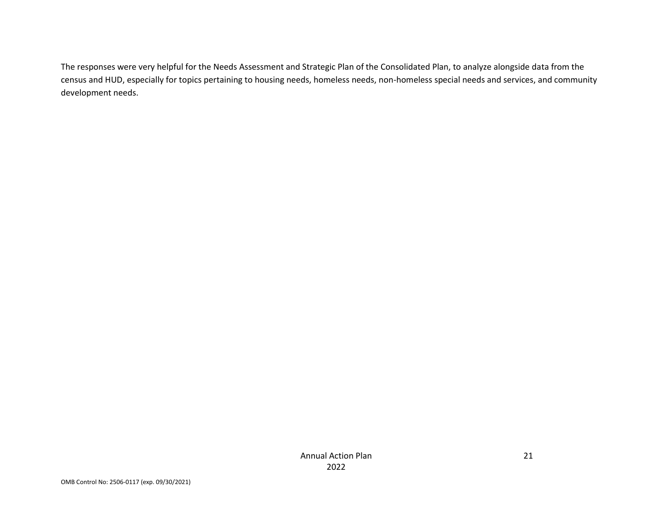The responses were very helpful for the Needs Assessment and Strategic Plan of the Consolidated Plan, to analyze alongside data from the census and HUD, especially for topics pertaining to housing needs, homeless needs, non-homeless special needs and services, and community development needs.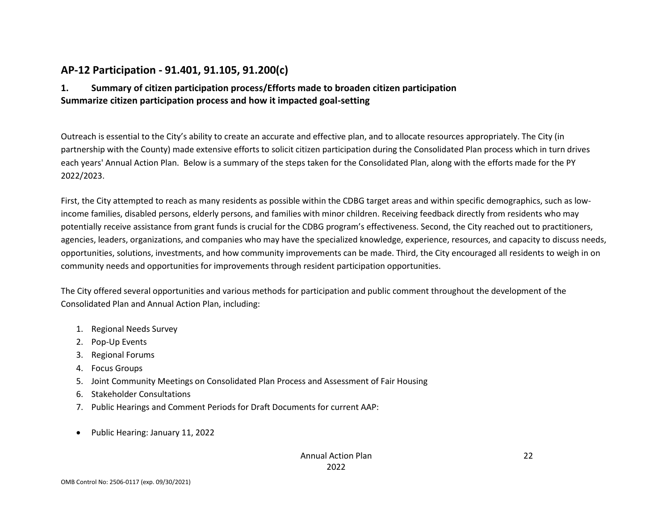# **AP-12 Participation - 91.401, 91.105, 91.200(c)**

## **1. Summary of citizen participation process/Efforts made to broaden citizen participation Summarize citizen participation process and how it impacted goal-setting**

Outreach is essential to the City's ability to create an accurate and effective plan, and to allocate resources appropriately. The City (in partnership with the County) made extensive efforts to solicit citizen participation during the Consolidated Plan process which in turn drives each years' Annual Action Plan. Below is a summary of the steps taken for the Consolidated Plan, along with the efforts made for the PY 2022/2023.

First, the City attempted to reach as many residents as possible within the CDBG target areas and within specific demographics, such as lowincome families, disabled persons, elderly persons, and families with minor children. Receiving feedback directly from residents who may potentially receive assistance from grant funds is crucial for the CDBG program's effectiveness. Second, the City reached out to practitioners, agencies, leaders, organizations, and companies who may have the specialized knowledge, experience, resources, and capacity to discuss needs, opportunities, solutions, investments, and how community improvements can be made. Third, the City encouraged all residents to weigh in on community needs and opportunities for improvements through resident participation opportunities.

The City offered several opportunities and various methods for participation and public comment throughout the development of the Consolidated Plan and Annual Action Plan, including:

- 1. Regional Needs Survey
- 2. Pop-Up Events
- 3. Regional Forums
- 4. Focus Groups
- 5. Joint Community Meetings on Consolidated Plan Process and Assessment of Fair Housing
- 6. Stakeholder Consultations
- 7. Public Hearings and Comment Periods for Draft Documents for current AAP:
- Public Hearing: January 11, 2022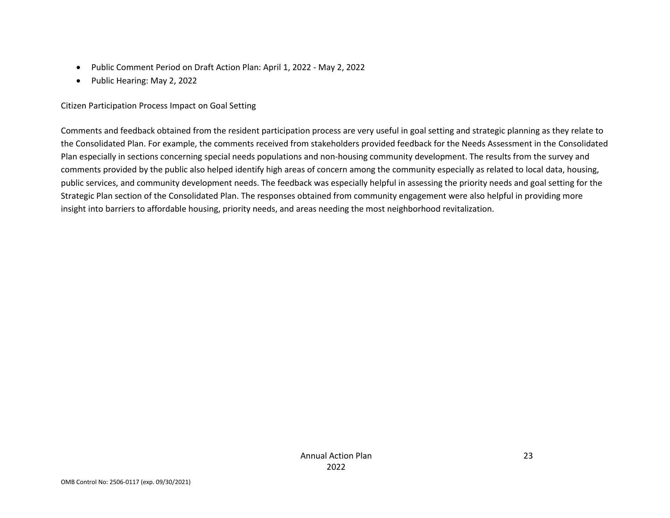- Public Comment Period on Draft Action Plan: April 1, 2022 May 2, 2022
- Public Hearing: May 2, 2022

#### Citizen Participation Process Impact on Goal Setting

Comments and feedback obtained from the resident participation process are very useful in goal setting and strategic planning as they relate to the Consolidated Plan. For example, the comments received from stakeholders provided feedback for the Needs Assessment in the Consolidated Plan especially in sections concerning special needs populations and non-housing community development. The results from the survey and comments provided by the public also helped identify high areas of concern among the community especially as related to local data, housing, public services, and community development needs. The feedback was especially helpful in assessing the priority needs and goal setting for the Strategic Plan section of the Consolidated Plan. The responses obtained from community engagement were also helpful in providing more insight into barriers to affordable housing, priority needs, and areas needing the most neighborhood revitalization.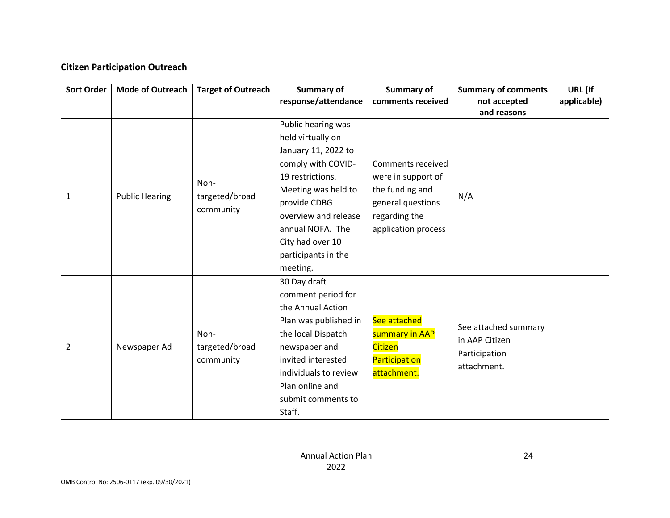## **Citizen Participation Outreach**

| <b>Sort Order</b> | <b>Mode of Outreach</b> | <b>Target of Outreach</b>           | <b>Summary of</b>                                                                                                                                                                                                                                  | Summary of                                                                                                              | <b>Summary of comments</b>                                             | URL (If     |
|-------------------|-------------------------|-------------------------------------|----------------------------------------------------------------------------------------------------------------------------------------------------------------------------------------------------------------------------------------------------|-------------------------------------------------------------------------------------------------------------------------|------------------------------------------------------------------------|-------------|
|                   |                         |                                     | response/attendance                                                                                                                                                                                                                                | comments received                                                                                                       | not accepted<br>and reasons                                            | applicable) |
| 1                 | <b>Public Hearing</b>   | Non-<br>targeted/broad<br>community | Public hearing was<br>held virtually on<br>January 11, 2022 to<br>comply with COVID-<br>19 restrictions.<br>Meeting was held to<br>provide CDBG<br>overview and release<br>annual NOFA. The<br>City had over 10<br>participants in the<br>meeting. | Comments received<br>were in support of<br>the funding and<br>general questions<br>regarding the<br>application process | N/A                                                                    |             |
| 2                 | Newspaper Ad            | Non-<br>targeted/broad<br>community | 30 Day draft<br>comment period for<br>the Annual Action<br>Plan was published in<br>the local Dispatch<br>newspaper and<br>invited interested<br>individuals to review<br>Plan online and<br>submit comments to<br>Staff.                          | See attached<br>summary in AAP<br><b>Citizen</b><br>Participation<br>attachment.                                        | See attached summary<br>in AAP Citizen<br>Participation<br>attachment. |             |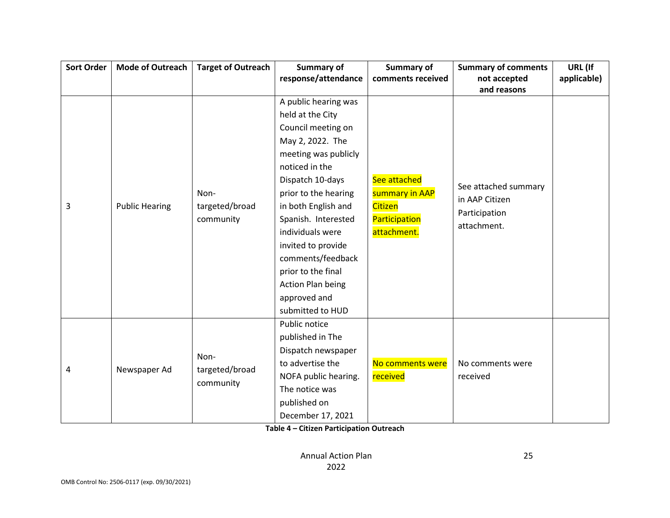| <b>Sort Order</b> | <b>Mode of Outreach</b> | <b>Target of Outreach</b>   | Summary of                               | Summary of                              | <b>Summary of comments</b>   | URL (If     |
|-------------------|-------------------------|-----------------------------|------------------------------------------|-----------------------------------------|------------------------------|-------------|
|                   |                         |                             | response/attendance<br>comments received |                                         | not accepted                 | applicable) |
|                   |                         |                             |                                          |                                         | and reasons                  |             |
|                   |                         |                             | A public hearing was                     |                                         |                              |             |
|                   |                         |                             | held at the City                         |                                         |                              |             |
|                   |                         |                             | Council meeting on                       |                                         |                              |             |
|                   |                         |                             | May 2, 2022. The                         |                                         |                              |             |
|                   |                         |                             | meeting was publicly                     |                                         |                              |             |
|                   |                         |                             | noticed in the                           |                                         |                              |             |
|                   |                         |                             | Dispatch 10-days                         | See attached                            | See attached summary         |             |
|                   |                         | Non-                        | prior to the hearing                     | summary in AAP                          | in AAP Citizen               |             |
| 3                 | <b>Public Hearing</b>   | targeted/broad<br>community | in both English and                      | Citizen<br>Participation<br>attachment. | Participation<br>attachment. |             |
|                   |                         |                             | Spanish. Interested                      |                                         |                              |             |
|                   |                         |                             | individuals were                         |                                         |                              |             |
|                   |                         |                             | invited to provide                       |                                         |                              |             |
|                   |                         |                             | comments/feedback                        |                                         |                              |             |
|                   |                         |                             | prior to the final                       |                                         |                              |             |
|                   |                         |                             | <b>Action Plan being</b>                 |                                         |                              |             |
|                   |                         |                             | approved and                             |                                         |                              |             |
|                   |                         |                             | submitted to HUD                         |                                         |                              |             |
|                   |                         |                             | Public notice                            |                                         |                              |             |
|                   |                         |                             | published in The                         |                                         |                              |             |
|                   |                         |                             | Dispatch newspaper                       |                                         |                              |             |
|                   |                         | Non-                        | to advertise the                         | No comments were                        | No comments were<br>received |             |
| 4                 | Newspaper Ad            | targeted/broad<br>community | NOFA public hearing.                     | received                                |                              |             |
|                   |                         |                             | The notice was                           |                                         |                              |             |
|                   |                         |                             | published on                             |                                         |                              |             |
|                   |                         |                             | December 17, 2021                        |                                         |                              |             |

**Table 4 – Citizen Participation Outreach**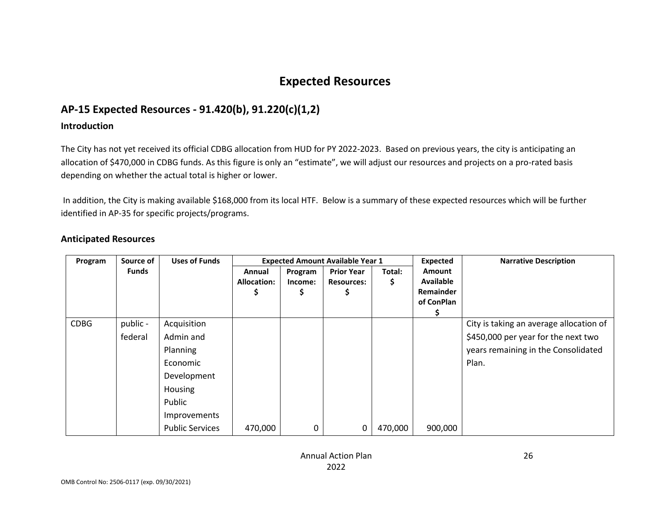# **Expected Resources**

# **AP-15 Expected Resources - 91.420(b), 91.220(c)(1,2)**

#### **Introduction**

The City has not yet received its official CDBG allocation from HUD for PY 2022-2023. Based on previous years, the city is anticipating an allocation of \$470,000 in CDBG funds. As this figure is only an "estimate", we will adjust our resources and projects on a pro-rated basis depending on whether the actual total is higher or lower.

In addition, the City is making available \$168,000 from its local HTF. Below is a summary of these expected resources which will be further identified in AP-35 for specific projects/programs.

| Program     | Source of           | <b>Uses of Funds</b>                                                                                                           |                                   |                         | <b>Expected Amount Available Year 1</b>     |             | Expected                                                     | <b>Narrative Description</b>                                                                                                   |
|-------------|---------------------|--------------------------------------------------------------------------------------------------------------------------------|-----------------------------------|-------------------------|---------------------------------------------|-------------|--------------------------------------------------------------|--------------------------------------------------------------------------------------------------------------------------------|
|             | <b>Funds</b>        |                                                                                                                                | Annual<br><b>Allocation:</b><br>⋗ | Program<br>Income:<br>Ş | <b>Prior Year</b><br><b>Resources:</b><br>Ş | Total:<br>Ş | Amount<br><b>Available</b><br><b>Remainder</b><br>of ConPlan |                                                                                                                                |
| <b>CDBG</b> | public -<br>federal | Acquisition<br>Admin and<br>Planning<br>Economic<br>Development<br>Housing<br>Public<br>Improvements<br><b>Public Services</b> | 470,000                           | 0                       | 0                                           | 470,000     | 900,000                                                      | City is taking an average allocation of<br>\$450,000 per year for the next two<br>years remaining in the Consolidated<br>Plan. |

#### **Anticipated Resources**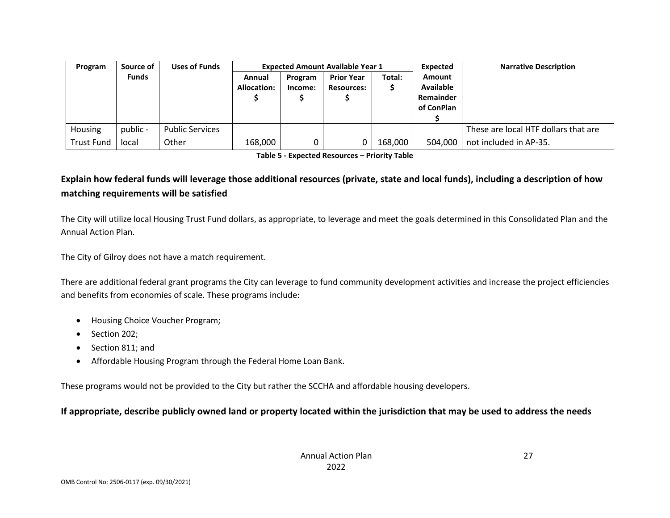| Program           | Source of    | <b>Uses of Funds</b>   |                       | <b>Expected Amount Available Year 1</b> |                   |         | Expected                   | <b>Narrative Description</b>         |
|-------------------|--------------|------------------------|-----------------------|-----------------------------------------|-------------------|---------|----------------------------|--------------------------------------|
|                   | <b>Funds</b> |                        | Annual<br>Allocation: | Program                                 | <b>Prior Year</b> | Total:  | Amount<br><b>Available</b> |                                      |
|                   |              |                        |                       | Income:                                 | <b>Resources:</b> |         | Remainder                  |                                      |
|                   |              |                        |                       |                                         |                   |         | of ConPlan                 |                                      |
|                   |              |                        |                       |                                         |                   |         |                            |                                      |
| Housing           | public -     | <b>Public Services</b> |                       |                                         |                   |         |                            | These are local HTF dollars that are |
| <b>Trust Fund</b> | local        | Other                  | 168,000               |                                         |                   | 168,000 | 504.000                    | not included in AP-35.               |

**Table 5 - Expected Resources – Priority Table**

## **Explain how federal funds will leverage those additional resources (private, state and local funds), including a description of how matching requirements will be satisfied**

The City will utilize local Housing Trust Fund dollars, as appropriate, to leverage and meet the goals determined in this Consolidated Plan and the Annual Action Plan.

The City of Gilroy does not have a match requirement.

There are additional federal grant programs the City can leverage to fund community development activities and increase the project efficiencies and benefits from economies of scale. These programs include:

- Housing Choice Voucher Program;
- Section 202;
- Section 811; and
- Affordable Housing Program through the Federal Home Loan Bank.

These programs would not be provided to the City but rather the SCCHA and affordable housing developers.

#### **If appropriate, describe publicly owned land or property located within the jurisdiction that may be used to address the needs**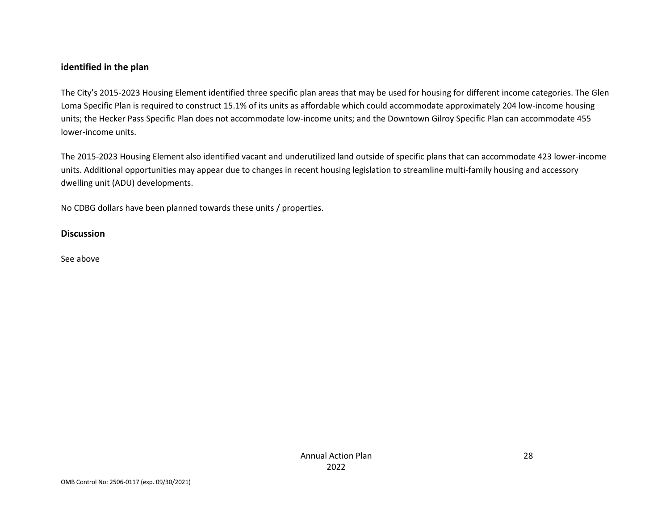#### **identified in the plan**

The City's 2015-2023 Housing Element identified three specific plan areas that may be used for housing for different income categories. The Glen Loma Specific Plan is required to construct 15.1% of its units as affordable which could accommodate approximately 204 low-income housing units; the Hecker Pass Specific Plan does not accommodate low-income units; and the Downtown Gilroy Specific Plan can accommodate 455 lower-income units.

The 2015-2023 Housing Element also identified vacant and underutilized land outside of specific plans that can accommodate 423 lower-income units. Additional opportunities may appear due to changes in recent housing legislation to streamline multi-family housing and accessory dwelling unit (ADU) developments.

No CDBG dollars have been planned towards these units / properties.

#### **Discussion**

See above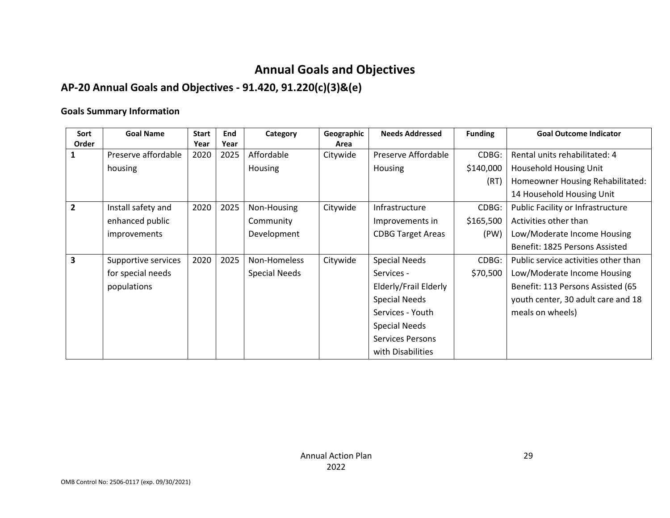# **Annual Goals and Objectives**

# **AP-20 Annual Goals and Objectives - 91.420, 91.220(c)(3)&(e)**

#### **Goals Summary Information**

| Sort  | <b>Goal Name</b>    | <b>Start</b> | End  | Category      | Geographic | <b>Needs Addressed</b>   | <b>Funding</b> | <b>Goal Outcome Indicator</b>        |
|-------|---------------------|--------------|------|---------------|------------|--------------------------|----------------|--------------------------------------|
| Order |                     | Year         | Year |               | Area       |                          |                |                                      |
|       | Preserve affordable | 2020         | 2025 | Affordable    | Citywide   | Preserve Affordable      | CDBG:          | Rental units rehabilitated: 4        |
|       | housing             |              |      | Housing       |            | <b>Housing</b>           | \$140,000      | Household Housing Unit               |
|       |                     |              |      |               |            |                          | (RT)           | Homeowner Housing Rehabilitated:     |
|       |                     |              |      |               |            |                          |                | 14 Household Housing Unit            |
| 2     | Install safety and  | 2020         | 2025 | Non-Housing   | Citywide   | Infrastructure           | CDBG:          | Public Facility or Infrastructure    |
|       | enhanced public     |              |      | Community     |            | Improvements in          | \$165,500      | Activities other than                |
|       | improvements        |              |      | Development   |            | <b>CDBG Target Areas</b> | (PW)           | Low/Moderate Income Housing          |
|       |                     |              |      |               |            |                          |                | Benefit: 1825 Persons Assisted       |
| 3     | Supportive services | 2020         | 2025 | Non-Homeless  | Citywide   | <b>Special Needs</b>     | CDBG:          | Public service activities other than |
|       | for special needs   |              |      | Special Needs |            | Services -               | \$70,500       | Low/Moderate Income Housing          |
|       | populations         |              |      |               |            | Elderly/Frail Elderly    |                | Benefit: 113 Persons Assisted (65    |
|       |                     |              |      |               |            | <b>Special Needs</b>     |                | youth center, 30 adult care and 18   |
|       |                     |              |      |               |            | Services - Youth         |                | meals on wheels)                     |
|       |                     |              |      |               |            | <b>Special Needs</b>     |                |                                      |
|       |                     |              |      |               |            | <b>Services Persons</b>  |                |                                      |
|       |                     |              |      |               |            | with Disabilities        |                |                                      |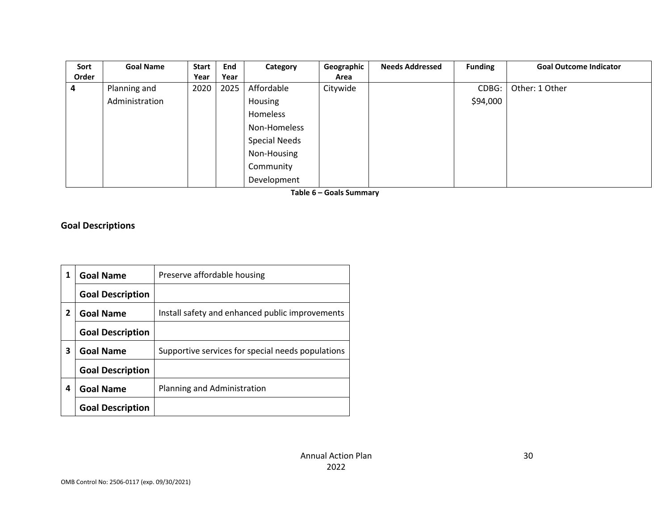| Sort  | <b>Goal Name</b> | <b>Start</b> | End  | Category      | Geographic | <b>Needs Addressed</b> | <b>Funding</b> | <b>Goal Outcome Indicator</b> |
|-------|------------------|--------------|------|---------------|------------|------------------------|----------------|-------------------------------|
| Order |                  | Year         | Year |               | Area       |                        |                |                               |
| 4     | Planning and     | 2020         | 2025 | Affordable    | Citywide   |                        | CDBG:          | Other: 1 Other                |
|       | Administration   |              |      | Housing       |            |                        | \$94,000       |                               |
|       |                  |              |      | Homeless      |            |                        |                |                               |
|       |                  |              |      | Non-Homeless  |            |                        |                |                               |
|       |                  |              |      | Special Needs |            |                        |                |                               |
|       |                  |              |      | Non-Housing   |            |                        |                |                               |
|       |                  |              |      | Community     |            |                        |                |                               |
|       |                  |              |      | Development   |            |                        |                |                               |

**Table 6 – Goals Summary**

**Goal Descriptions**

| 1 | <b>Goal Name</b>        | Preserve affordable housing                       |
|---|-------------------------|---------------------------------------------------|
|   | <b>Goal Description</b> |                                                   |
| 2 | <b>Goal Name</b>        | Install safety and enhanced public improvements   |
|   | <b>Goal Description</b> |                                                   |
| 3 | <b>Goal Name</b>        | Supportive services for special needs populations |
|   | <b>Goal Description</b> |                                                   |
| 4 | <b>Goal Name</b>        | Planning and Administration                       |
|   | <b>Goal Description</b> |                                                   |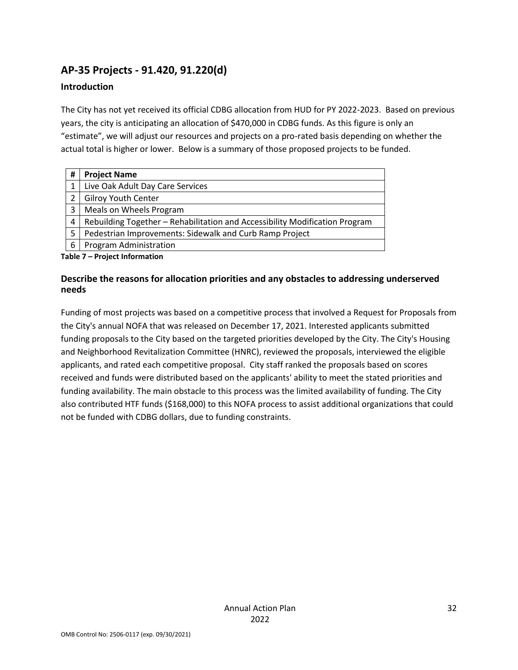# **AP-35 Projects - 91.420, 91.220(d)**

#### **Introduction**

The City has not yet received its official CDBG allocation from HUD for PY 2022-2023. Based on previous years, the city is anticipating an allocation of \$470,000 in CDBG funds. As this figure is only an "estimate", we will adjust our resources and projects on a pro-rated basis depending on whether the actual total is higher or lower. Below is a summary of those proposed projects to be funded.

| # | <b>Project Name</b>                                                         |
|---|-----------------------------------------------------------------------------|
|   | Live Oak Adult Day Care Services                                            |
|   | <b>Gilroy Youth Center</b>                                                  |
| 3 | Meals on Wheels Program                                                     |
| 4 | Rebuilding Together - Rehabilitation and Accessibility Modification Program |
| 5 | Pedestrian Improvements: Sidewalk and Curb Ramp Project                     |
| 6 | Program Administration                                                      |

**Table 7 – Project Information**

#### **Describe the reasons for allocation priorities and any obstacles to addressing underserved needs**

Funding of most projects was based on a competitive process that involved a Request for Proposals from the City's annual NOFA that was released on December 17, 2021. Interested applicants submitted funding proposals to the City based on the targeted priorities developed by the City. The City's Housing and Neighborhood Revitalization Committee (HNRC), reviewed the proposals, interviewed the eligible applicants, and rated each competitive proposal. City staff ranked the proposals based on scores received and funds were distributed based on the applicants' ability to meet the stated priorities and funding availability. The main obstacle to this process was the limited availability of funding. The City also contributed HTF funds (\$168,000) to this NOFA process to assist additional organizations that could not be funded with CDBG dollars, due to funding constraints.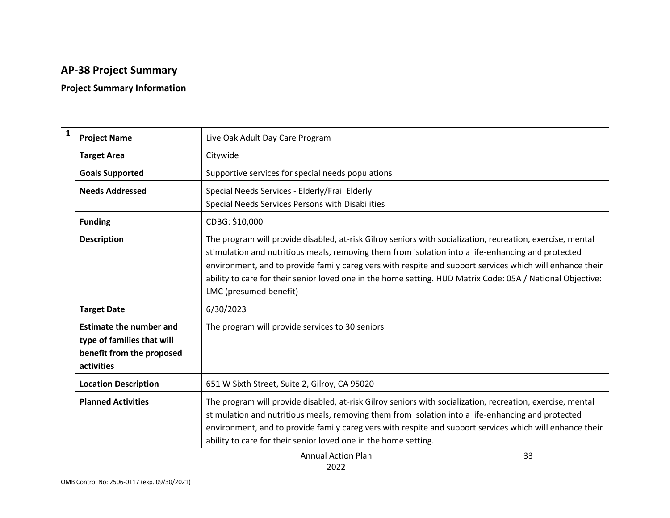# **AP-38 Project Summary**

## **Project Summary Information**

| $\mathbf{1}$ | <b>Project Name</b>                                                                                     | Live Oak Adult Day Care Program                                                                                                                                                                                                                                                                                                                                                                                                                                      |
|--------------|---------------------------------------------------------------------------------------------------------|----------------------------------------------------------------------------------------------------------------------------------------------------------------------------------------------------------------------------------------------------------------------------------------------------------------------------------------------------------------------------------------------------------------------------------------------------------------------|
|              | <b>Target Area</b>                                                                                      | Citywide                                                                                                                                                                                                                                                                                                                                                                                                                                                             |
|              | <b>Goals Supported</b>                                                                                  | Supportive services for special needs populations                                                                                                                                                                                                                                                                                                                                                                                                                    |
|              | <b>Needs Addressed</b>                                                                                  | Special Needs Services - Elderly/Frail Elderly<br>Special Needs Services Persons with Disabilities                                                                                                                                                                                                                                                                                                                                                                   |
|              | <b>Funding</b>                                                                                          | CDBG: \$10,000                                                                                                                                                                                                                                                                                                                                                                                                                                                       |
|              | <b>Description</b>                                                                                      | The program will provide disabled, at-risk Gilroy seniors with socialization, recreation, exercise, mental<br>stimulation and nutritious meals, removing them from isolation into a life-enhancing and protected<br>environment, and to provide family caregivers with respite and support services which will enhance their<br>ability to care for their senior loved one in the home setting. HUD Matrix Code: 05A / National Objective:<br>LMC (presumed benefit) |
|              | <b>Target Date</b>                                                                                      | 6/30/2023                                                                                                                                                                                                                                                                                                                                                                                                                                                            |
|              | <b>Estimate the number and</b><br>type of families that will<br>benefit from the proposed<br>activities | The program will provide services to 30 seniors                                                                                                                                                                                                                                                                                                                                                                                                                      |
|              | <b>Location Description</b>                                                                             | 651 W Sixth Street, Suite 2, Gilroy, CA 95020                                                                                                                                                                                                                                                                                                                                                                                                                        |
|              | <b>Planned Activities</b>                                                                               | The program will provide disabled, at-risk Gilroy seniors with socialization, recreation, exercise, mental<br>stimulation and nutritious meals, removing them from isolation into a life-enhancing and protected<br>environment, and to provide family caregivers with respite and support services which will enhance their<br>ability to care for their senior loved one in the home setting.                                                                      |

Annual Action Plan 2022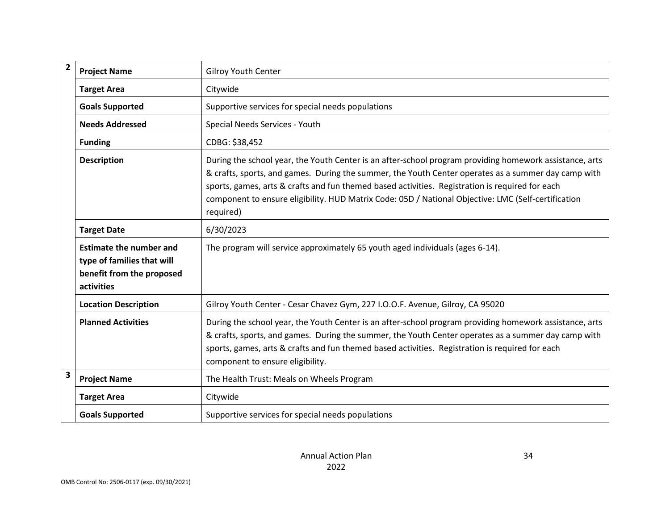| $\overline{\mathbf{c}}$ | <b>Project Name</b>                                                                                     | <b>Gilroy Youth Center</b>                                                                                                                                                                                                                                                                                                                                                                                                            |
|-------------------------|---------------------------------------------------------------------------------------------------------|---------------------------------------------------------------------------------------------------------------------------------------------------------------------------------------------------------------------------------------------------------------------------------------------------------------------------------------------------------------------------------------------------------------------------------------|
|                         | <b>Target Area</b>                                                                                      | Citywide                                                                                                                                                                                                                                                                                                                                                                                                                              |
|                         | <b>Goals Supported</b>                                                                                  | Supportive services for special needs populations                                                                                                                                                                                                                                                                                                                                                                                     |
|                         | <b>Needs Addressed</b>                                                                                  | Special Needs Services - Youth                                                                                                                                                                                                                                                                                                                                                                                                        |
|                         | <b>Funding</b>                                                                                          | CDBG: \$38,452                                                                                                                                                                                                                                                                                                                                                                                                                        |
|                         | <b>Description</b>                                                                                      | During the school year, the Youth Center is an after-school program providing homework assistance, arts<br>& crafts, sports, and games. During the summer, the Youth Center operates as a summer day camp with<br>sports, games, arts & crafts and fun themed based activities. Registration is required for each<br>component to ensure eligibility. HUD Matrix Code: 05D / National Objective: LMC (Self-certification<br>required) |
|                         | <b>Target Date</b>                                                                                      | 6/30/2023                                                                                                                                                                                                                                                                                                                                                                                                                             |
|                         | <b>Estimate the number and</b><br>type of families that will<br>benefit from the proposed<br>activities | The program will service approximately 65 youth aged individuals (ages 6-14).                                                                                                                                                                                                                                                                                                                                                         |
|                         | <b>Location Description</b>                                                                             | Gilroy Youth Center - Cesar Chavez Gym, 227 I.O.O.F. Avenue, Gilroy, CA 95020                                                                                                                                                                                                                                                                                                                                                         |
|                         | <b>Planned Activities</b>                                                                               | During the school year, the Youth Center is an after-school program providing homework assistance, arts<br>& crafts, sports, and games. During the summer, the Youth Center operates as a summer day camp with<br>sports, games, arts & crafts and fun themed based activities. Registration is required for each<br>component to ensure eligibility.                                                                                 |
| 3                       | <b>Project Name</b>                                                                                     | The Health Trust: Meals on Wheels Program                                                                                                                                                                                                                                                                                                                                                                                             |
|                         | <b>Target Area</b>                                                                                      | Citywide                                                                                                                                                                                                                                                                                                                                                                                                                              |
|                         | <b>Goals Supported</b>                                                                                  | Supportive services for special needs populations                                                                                                                                                                                                                                                                                                                                                                                     |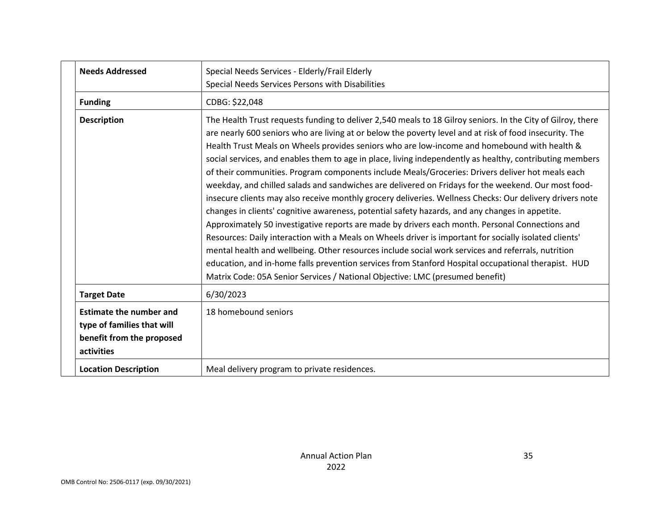| <b>Needs Addressed</b>                                                                                  | Special Needs Services - Elderly/Frail Elderly<br>Special Needs Services Persons with Disabilities                                                                                                                                                                                                                                                                                                                                                                                                                                                                                                                                                                                                                                                                                                                                                                                                                                                                                                                                                                                                                                                                                                                                                                                                                                                                      |
|---------------------------------------------------------------------------------------------------------|-------------------------------------------------------------------------------------------------------------------------------------------------------------------------------------------------------------------------------------------------------------------------------------------------------------------------------------------------------------------------------------------------------------------------------------------------------------------------------------------------------------------------------------------------------------------------------------------------------------------------------------------------------------------------------------------------------------------------------------------------------------------------------------------------------------------------------------------------------------------------------------------------------------------------------------------------------------------------------------------------------------------------------------------------------------------------------------------------------------------------------------------------------------------------------------------------------------------------------------------------------------------------------------------------------------------------------------------------------------------------|
| <b>Funding</b>                                                                                          | CDBG: \$22,048                                                                                                                                                                                                                                                                                                                                                                                                                                                                                                                                                                                                                                                                                                                                                                                                                                                                                                                                                                                                                                                                                                                                                                                                                                                                                                                                                          |
| <b>Description</b>                                                                                      | The Health Trust requests funding to deliver 2,540 meals to 18 Gilroy seniors. In the City of Gilroy, there<br>are nearly 600 seniors who are living at or below the poverty level and at risk of food insecurity. The<br>Health Trust Meals on Wheels provides seniors who are low-income and homebound with health &<br>social services, and enables them to age in place, living independently as healthy, contributing members<br>of their communities. Program components include Meals/Groceries: Drivers deliver hot meals each<br>weekday, and chilled salads and sandwiches are delivered on Fridays for the weekend. Our most food-<br>insecure clients may also receive monthly grocery deliveries. Wellness Checks: Our delivery drivers note<br>changes in clients' cognitive awareness, potential safety hazards, and any changes in appetite.<br>Approximately 50 investigative reports are made by drivers each month. Personal Connections and<br>Resources: Daily interaction with a Meals on Wheels driver is important for socially isolated clients'<br>mental health and wellbeing. Other resources include social work services and referrals, nutrition<br>education, and in-home falls prevention services from Stanford Hospital occupational therapist. HUD<br>Matrix Code: 05A Senior Services / National Objective: LMC (presumed benefit) |
| <b>Target Date</b>                                                                                      | 6/30/2023                                                                                                                                                                                                                                                                                                                                                                                                                                                                                                                                                                                                                                                                                                                                                                                                                                                                                                                                                                                                                                                                                                                                                                                                                                                                                                                                                               |
| <b>Estimate the number and</b><br>type of families that will<br>benefit from the proposed<br>activities | 18 homebound seniors                                                                                                                                                                                                                                                                                                                                                                                                                                                                                                                                                                                                                                                                                                                                                                                                                                                                                                                                                                                                                                                                                                                                                                                                                                                                                                                                                    |
| <b>Location Description</b>                                                                             | Meal delivery program to private residences.                                                                                                                                                                                                                                                                                                                                                                                                                                                                                                                                                                                                                                                                                                                                                                                                                                                                                                                                                                                                                                                                                                                                                                                                                                                                                                                            |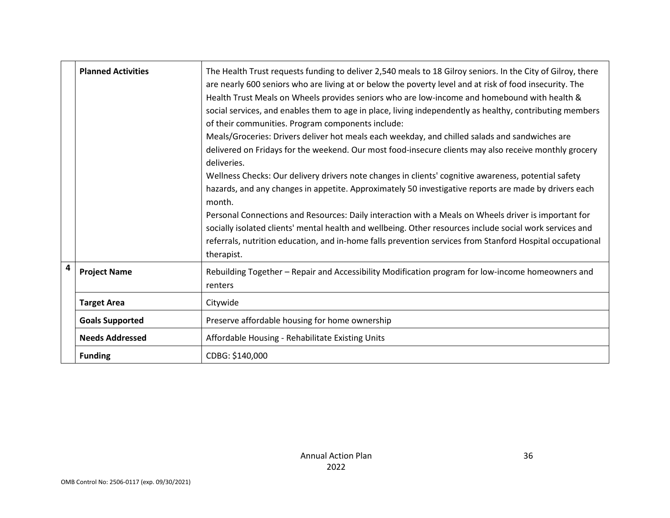|                | <b>Planned Activities</b> | The Health Trust requests funding to deliver 2,540 meals to 18 Gilroy seniors. In the City of Gilroy, there<br>are nearly 600 seniors who are living at or below the poverty level and at risk of food insecurity. The<br>Health Trust Meals on Wheels provides seniors who are low-income and homebound with health &<br>social services, and enables them to age in place, living independently as healthy, contributing members<br>of their communities. Program components include:<br>Meals/Groceries: Drivers deliver hot meals each weekday, and chilled salads and sandwiches are<br>delivered on Fridays for the weekend. Our most food-insecure clients may also receive monthly grocery<br>deliveries.<br>Wellness Checks: Our delivery drivers note changes in clients' cognitive awareness, potential safety<br>hazards, and any changes in appetite. Approximately 50 investigative reports are made by drivers each<br>month.<br>Personal Connections and Resources: Daily interaction with a Meals on Wheels driver is important for<br>socially isolated clients' mental health and wellbeing. Other resources include social work services and<br>referrals, nutrition education, and in-home falls prevention services from Stanford Hospital occupational<br>therapist. |
|----------------|---------------------------|---------------------------------------------------------------------------------------------------------------------------------------------------------------------------------------------------------------------------------------------------------------------------------------------------------------------------------------------------------------------------------------------------------------------------------------------------------------------------------------------------------------------------------------------------------------------------------------------------------------------------------------------------------------------------------------------------------------------------------------------------------------------------------------------------------------------------------------------------------------------------------------------------------------------------------------------------------------------------------------------------------------------------------------------------------------------------------------------------------------------------------------------------------------------------------------------------------------------------------------------------------------------------------------------|
| $\overline{4}$ | <b>Project Name</b>       | Rebuilding Together - Repair and Accessibility Modification program for low-income homeowners and<br>renters                                                                                                                                                                                                                                                                                                                                                                                                                                                                                                                                                                                                                                                                                                                                                                                                                                                                                                                                                                                                                                                                                                                                                                                |
|                | <b>Target Area</b>        | Citywide                                                                                                                                                                                                                                                                                                                                                                                                                                                                                                                                                                                                                                                                                                                                                                                                                                                                                                                                                                                                                                                                                                                                                                                                                                                                                    |
|                | <b>Goals Supported</b>    | Preserve affordable housing for home ownership                                                                                                                                                                                                                                                                                                                                                                                                                                                                                                                                                                                                                                                                                                                                                                                                                                                                                                                                                                                                                                                                                                                                                                                                                                              |
|                | <b>Needs Addressed</b>    | Affordable Housing - Rehabilitate Existing Units                                                                                                                                                                                                                                                                                                                                                                                                                                                                                                                                                                                                                                                                                                                                                                                                                                                                                                                                                                                                                                                                                                                                                                                                                                            |
|                | <b>Funding</b>            | CDBG: \$140,000                                                                                                                                                                                                                                                                                                                                                                                                                                                                                                                                                                                                                                                                                                                                                                                                                                                                                                                                                                                                                                                                                                                                                                                                                                                                             |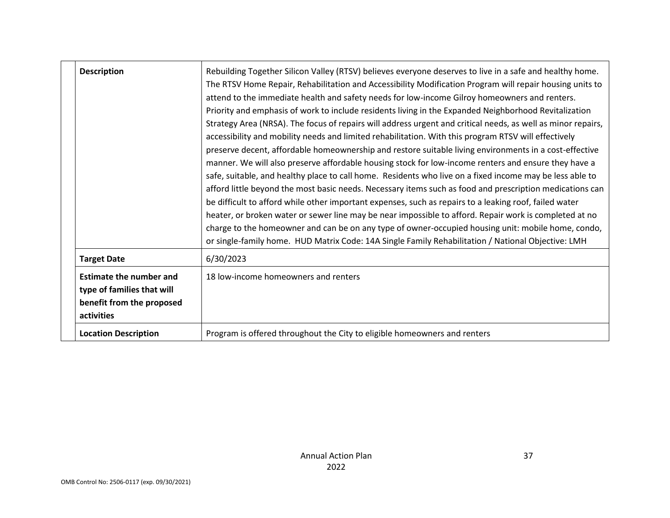| <b>Description</b>                                                         |                           | Rebuilding Together Silicon Valley (RTSV) believes everyone deserves to live in a safe and healthy home.<br>The RTSV Home Repair, Rehabilitation and Accessibility Modification Program will repair housing units to<br>attend to the immediate health and safety needs for low-income Gilroy homeowners and renters.<br>Priority and emphasis of work to include residents living in the Expanded Neighborhood Revitalization<br>Strategy Area (NRSA). The focus of repairs will address urgent and critical needs, as well as minor repairs,<br>accessibility and mobility needs and limited rehabilitation. With this program RTSV will effectively<br>preserve decent, affordable homeownership and restore suitable living environments in a cost-effective<br>manner. We will also preserve affordable housing stock for low-income renters and ensure they have a<br>safe, suitable, and healthy place to call home. Residents who live on a fixed income may be less able to<br>afford little beyond the most basic needs. Necessary items such as food and prescription medications can<br>be difficult to afford while other important expenses, such as repairs to a leaking roof, failed water<br>heater, or broken water or sewer line may be near impossible to afford. Repair work is completed at no<br>charge to the homeowner and can be on any type of owner-occupied housing unit: mobile home, condo,<br>or single-family home. HUD Matrix Code: 14A Single Family Rehabilitation / National Objective: LMH |
|----------------------------------------------------------------------------|---------------------------|----------------------------------------------------------------------------------------------------------------------------------------------------------------------------------------------------------------------------------------------------------------------------------------------------------------------------------------------------------------------------------------------------------------------------------------------------------------------------------------------------------------------------------------------------------------------------------------------------------------------------------------------------------------------------------------------------------------------------------------------------------------------------------------------------------------------------------------------------------------------------------------------------------------------------------------------------------------------------------------------------------------------------------------------------------------------------------------------------------------------------------------------------------------------------------------------------------------------------------------------------------------------------------------------------------------------------------------------------------------------------------------------------------------------------------------------------------------------------------------------------------------------------------|
| <b>Target Date</b>                                                         |                           | 6/30/2023                                                                                                                                                                                                                                                                                                                                                                                                                                                                                                                                                                                                                                                                                                                                                                                                                                                                                                                                                                                                                                                                                                                                                                                                                                                                                                                                                                                                                                                                                                                        |
| <b>Estimate the number and</b><br>type of families that will<br>activities | benefit from the proposed | 18 low-income homeowners and renters                                                                                                                                                                                                                                                                                                                                                                                                                                                                                                                                                                                                                                                                                                                                                                                                                                                                                                                                                                                                                                                                                                                                                                                                                                                                                                                                                                                                                                                                                             |
| <b>Location Description</b>                                                |                           | Program is offered throughout the City to eligible homeowners and renters                                                                                                                                                                                                                                                                                                                                                                                                                                                                                                                                                                                                                                                                                                                                                                                                                                                                                                                                                                                                                                                                                                                                                                                                                                                                                                                                                                                                                                                        |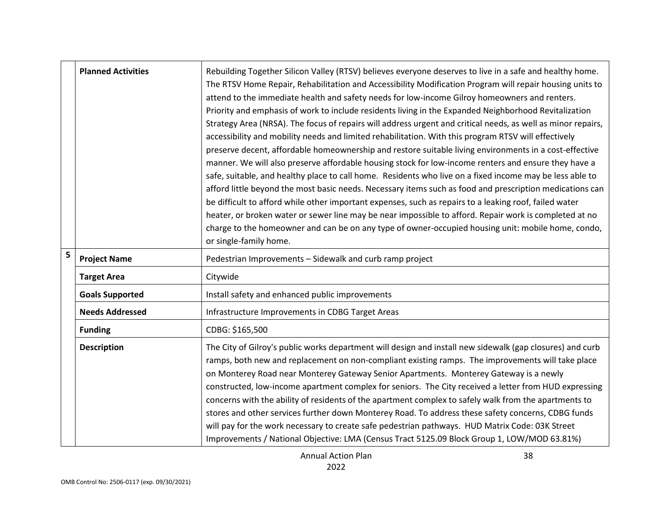|   | <b>Planned Activities</b> | Rebuilding Together Silicon Valley (RTSV) believes everyone deserves to live in a safe and healthy home.<br>The RTSV Home Repair, Rehabilitation and Accessibility Modification Program will repair housing units to<br>attend to the immediate health and safety needs for low-income Gilroy homeowners and renters.<br>Priority and emphasis of work to include residents living in the Expanded Neighborhood Revitalization<br>Strategy Area (NRSA). The focus of repairs will address urgent and critical needs, as well as minor repairs,<br>accessibility and mobility needs and limited rehabilitation. With this program RTSV will effectively<br>preserve decent, affordable homeownership and restore suitable living environments in a cost-effective<br>manner. We will also preserve affordable housing stock for low-income renters and ensure they have a<br>safe, suitable, and healthy place to call home. Residents who live on a fixed income may be less able to<br>afford little beyond the most basic needs. Necessary items such as food and prescription medications can<br>be difficult to afford while other important expenses, such as repairs to a leaking roof, failed water<br>heater, or broken water or sewer line may be near impossible to afford. Repair work is completed at no<br>charge to the homeowner and can be on any type of owner-occupied housing unit: mobile home, condo,<br>or single-family home. |
|---|---------------------------|------------------------------------------------------------------------------------------------------------------------------------------------------------------------------------------------------------------------------------------------------------------------------------------------------------------------------------------------------------------------------------------------------------------------------------------------------------------------------------------------------------------------------------------------------------------------------------------------------------------------------------------------------------------------------------------------------------------------------------------------------------------------------------------------------------------------------------------------------------------------------------------------------------------------------------------------------------------------------------------------------------------------------------------------------------------------------------------------------------------------------------------------------------------------------------------------------------------------------------------------------------------------------------------------------------------------------------------------------------------------------------------------------------------------------------------------------|
| 5 | <b>Project Name</b>       | Pedestrian Improvements - Sidewalk and curb ramp project                                                                                                                                                                                                                                                                                                                                                                                                                                                                                                                                                                                                                                                                                                                                                                                                                                                                                                                                                                                                                                                                                                                                                                                                                                                                                                                                                                                             |
|   | <b>Target Area</b>        | Citywide                                                                                                                                                                                                                                                                                                                                                                                                                                                                                                                                                                                                                                                                                                                                                                                                                                                                                                                                                                                                                                                                                                                                                                                                                                                                                                                                                                                                                                             |
|   | <b>Goals Supported</b>    | Install safety and enhanced public improvements                                                                                                                                                                                                                                                                                                                                                                                                                                                                                                                                                                                                                                                                                                                                                                                                                                                                                                                                                                                                                                                                                                                                                                                                                                                                                                                                                                                                      |
|   | <b>Needs Addressed</b>    | Infrastructure Improvements in CDBG Target Areas                                                                                                                                                                                                                                                                                                                                                                                                                                                                                                                                                                                                                                                                                                                                                                                                                                                                                                                                                                                                                                                                                                                                                                                                                                                                                                                                                                                                     |
|   | <b>Funding</b>            | CDBG: \$165,500                                                                                                                                                                                                                                                                                                                                                                                                                                                                                                                                                                                                                                                                                                                                                                                                                                                                                                                                                                                                                                                                                                                                                                                                                                                                                                                                                                                                                                      |
|   | <b>Description</b>        | The City of Gilroy's public works department will design and install new sidewalk (gap closures) and curb<br>ramps, both new and replacement on non-compliant existing ramps. The improvements will take place<br>on Monterey Road near Monterey Gateway Senior Apartments. Monterey Gateway is a newly<br>constructed, low-income apartment complex for seniors. The City received a letter from HUD expressing<br>concerns with the ability of residents of the apartment complex to safely walk from the apartments to<br>stores and other services further down Monterey Road. To address these safety concerns, CDBG funds<br>will pay for the work necessary to create safe pedestrian pathways. HUD Matrix Code: 03K Street<br>Improvements / National Objective: LMA (Census Tract 5125.09 Block Group 1, LOW/MOD 63.81%)                                                                                                                                                                                                                                                                                                                                                                                                                                                                                                                                                                                                                    |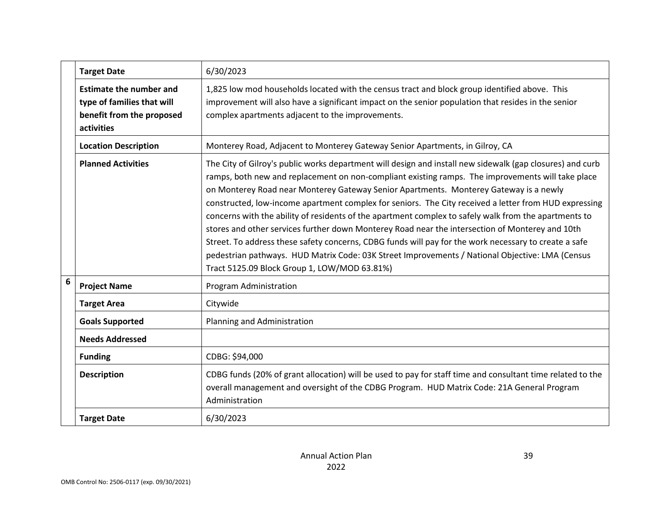|                  | <b>Target Date</b>                                                                                      | 6/30/2023                                                                                                                                                                                                                                                                                                                                                                                                                                                                                                                                                                                                                                                                                                                                                                                                                                                                                |
|------------------|---------------------------------------------------------------------------------------------------------|------------------------------------------------------------------------------------------------------------------------------------------------------------------------------------------------------------------------------------------------------------------------------------------------------------------------------------------------------------------------------------------------------------------------------------------------------------------------------------------------------------------------------------------------------------------------------------------------------------------------------------------------------------------------------------------------------------------------------------------------------------------------------------------------------------------------------------------------------------------------------------------|
|                  | <b>Estimate the number and</b><br>type of families that will<br>benefit from the proposed<br>activities | 1,825 low mod households located with the census tract and block group identified above. This<br>improvement will also have a significant impact on the senior population that resides in the senior<br>complex apartments adjacent to the improvements.                                                                                                                                                                                                                                                                                                                                                                                                                                                                                                                                                                                                                                 |
|                  | <b>Location Description</b>                                                                             | Monterey Road, Adjacent to Monterey Gateway Senior Apartments, in Gilroy, CA                                                                                                                                                                                                                                                                                                                                                                                                                                                                                                                                                                                                                                                                                                                                                                                                             |
|                  | <b>Planned Activities</b>                                                                               | The City of Gilroy's public works department will design and install new sidewalk (gap closures) and curb<br>ramps, both new and replacement on non-compliant existing ramps. The improvements will take place<br>on Monterey Road near Monterey Gateway Senior Apartments. Monterey Gateway is a newly<br>constructed, low-income apartment complex for seniors. The City received a letter from HUD expressing<br>concerns with the ability of residents of the apartment complex to safely walk from the apartments to<br>stores and other services further down Monterey Road near the intersection of Monterey and 10th<br>Street. To address these safety concerns, CDBG funds will pay for the work necessary to create a safe<br>pedestrian pathways. HUD Matrix Code: 03K Street Improvements / National Objective: LMA (Census<br>Tract 5125.09 Block Group 1, LOW/MOD 63.81%) |
| $\boldsymbol{6}$ | <b>Project Name</b>                                                                                     | Program Administration                                                                                                                                                                                                                                                                                                                                                                                                                                                                                                                                                                                                                                                                                                                                                                                                                                                                   |
|                  | <b>Target Area</b>                                                                                      | Citywide                                                                                                                                                                                                                                                                                                                                                                                                                                                                                                                                                                                                                                                                                                                                                                                                                                                                                 |
|                  | <b>Goals Supported</b>                                                                                  | Planning and Administration                                                                                                                                                                                                                                                                                                                                                                                                                                                                                                                                                                                                                                                                                                                                                                                                                                                              |
|                  | <b>Needs Addressed</b>                                                                                  |                                                                                                                                                                                                                                                                                                                                                                                                                                                                                                                                                                                                                                                                                                                                                                                                                                                                                          |
|                  | <b>Funding</b>                                                                                          | CDBG: \$94,000                                                                                                                                                                                                                                                                                                                                                                                                                                                                                                                                                                                                                                                                                                                                                                                                                                                                           |
|                  | <b>Description</b>                                                                                      | CDBG funds (20% of grant allocation) will be used to pay for staff time and consultant time related to the<br>overall management and oversight of the CDBG Program. HUD Matrix Code: 21A General Program<br>Administration                                                                                                                                                                                                                                                                                                                                                                                                                                                                                                                                                                                                                                                               |
|                  | <b>Target Date</b>                                                                                      | 6/30/2023                                                                                                                                                                                                                                                                                                                                                                                                                                                                                                                                                                                                                                                                                                                                                                                                                                                                                |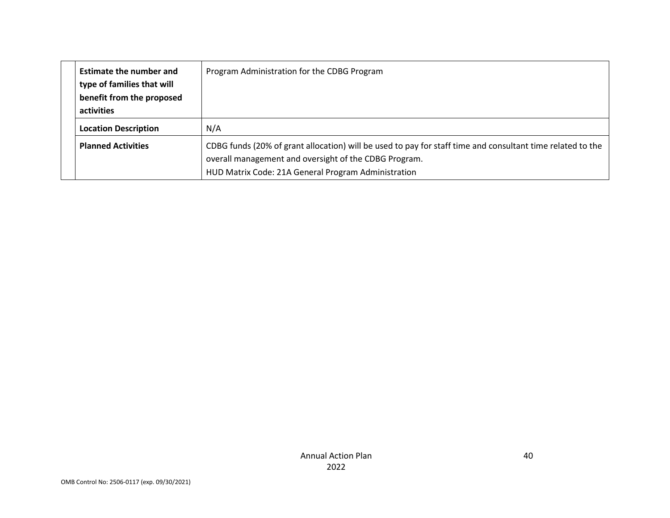|  | <b>Estimate the number and</b><br>type of families that will<br>benefit from the proposed<br>activities | Program Administration for the CDBG Program                                                                                                                                                                                |
|--|---------------------------------------------------------------------------------------------------------|----------------------------------------------------------------------------------------------------------------------------------------------------------------------------------------------------------------------------|
|  | <b>Location Description</b>                                                                             | N/A                                                                                                                                                                                                                        |
|  | <b>Planned Activities</b>                                                                               | CDBG funds (20% of grant allocation) will be used to pay for staff time and consultant time related to the<br>overall management and oversight of the CDBG Program.<br>HUD Matrix Code: 21A General Program Administration |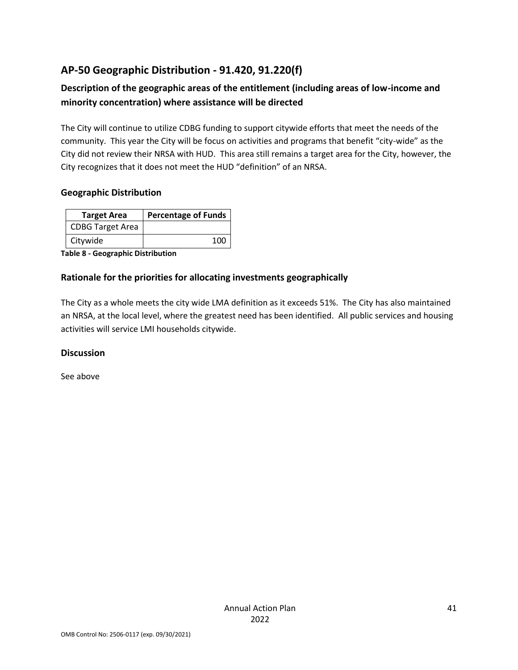# **AP-50 Geographic Distribution - 91.420, 91.220(f)**

# **Description of the geographic areas of the entitlement (including areas of low-income and minority concentration) where assistance will be directed**

The City will continue to utilize CDBG funding to support citywide efforts that meet the needs of the community. This year the City will be focus on activities and programs that benefit "city-wide" as the City did not review their NRSA with HUD. This area still remains a target area for the City, however, the City recognizes that it does not meet the HUD "definition" of an NRSA.

#### **Geographic Distribution**

| <b>Target Area</b>      | <b>Percentage of Funds</b> |  |
|-------------------------|----------------------------|--|
| <b>CDBG Target Area</b> |                            |  |
| Citywide                | 100                        |  |

**Table 8 - Geographic Distribution** 

#### **Rationale for the priorities for allocating investments geographically**

The City as a whole meets the city wide LMA definition as it exceeds 51%. The City has also maintained an NRSA, at the local level, where the greatest need has been identified. All public services and housing activities will service LMI households citywide.

#### **Discussion**

See above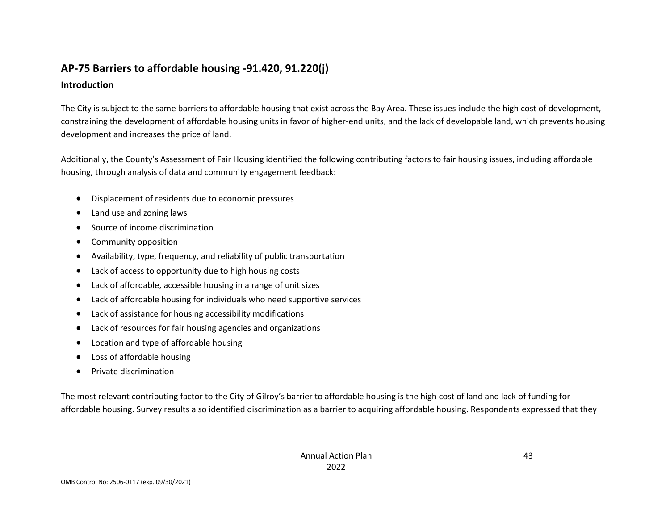# **AP-75 Barriers to affordable housing -91.420, 91.220(j)**

#### **Introduction**

The City is subject to the same barriers to affordable housing that exist across the Bay Area. These issues include the high cost of development, constraining the development of affordable housing units in favor of higher-end units, and the lack of developable land, which prevents housing development and increases the price of land.

Additionally, the County's Assessment of Fair Housing identified the following contributing factors to fair housing issues, including affordable housing, through analysis of data and community engagement feedback:

- Displacement of residents due to economic pressures
- Land use and zoning laws
- Source of income discrimination
- Community opposition
- Availability, type, frequency, and reliability of public transportation
- Lack of access to opportunity due to high housing costs
- Lack of affordable, accessible housing in a range of unit sizes
- Lack of affordable housing for individuals who need supportive services
- Lack of assistance for housing accessibility modifications
- Lack of resources for fair housing agencies and organizations
- Location and type of affordable housing
- Loss of affordable housing
- Private discrimination

The most relevant contributing factor to the City of Gilroy's barrier to affordable housing is the high cost of land and lack of funding for affordable housing. Survey results also identified discrimination as a barrier to acquiring affordable housing. Respondents expressed that they

43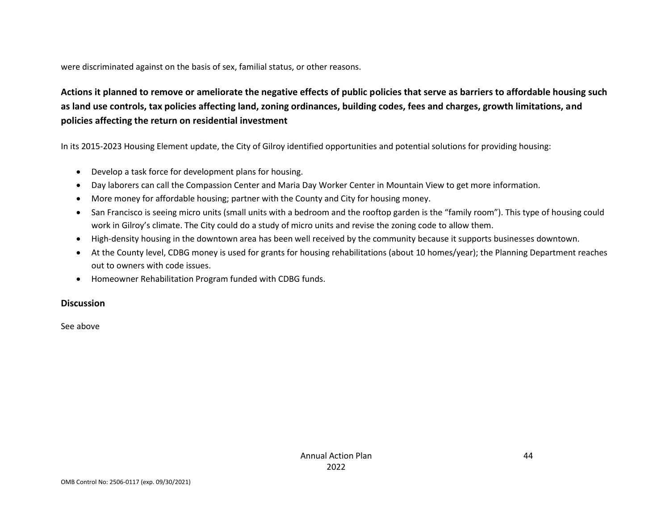were discriminated against on the basis of sex, familial status, or other reasons.

# **Actions it planned to remove or ameliorate the negative effects of public policies that serve as barriers to affordable housing such as land use controls, tax policies affecting land, zoning ordinances, building codes, fees and charges, growth limitations, and policies affecting the return on residential investment**

In its 2015-2023 Housing Element update, the City of Gilroy identified opportunities and potential solutions for providing housing:

- Develop a task force for development plans for housing.
- Day laborers can call the Compassion Center and Maria Day Worker Center in Mountain View to get more information.
- More money for affordable housing; partner with the County and City for housing money.
- San Francisco is seeing micro units (small units with a bedroom and the rooftop garden is the "family room"). This type of housing could work in Gilroy's climate. The City could do a study of micro units and revise the zoning code to allow them.
- High-density housing in the downtown area has been well received by the community because it supports businesses downtown.
- At the County level, CDBG money is used for grants for housing rehabilitations (about 10 homes/year); the Planning Department reaches out to owners with code issues.
- Homeowner Rehabilitation Program funded with CDBG funds.

#### **Discussion**

See above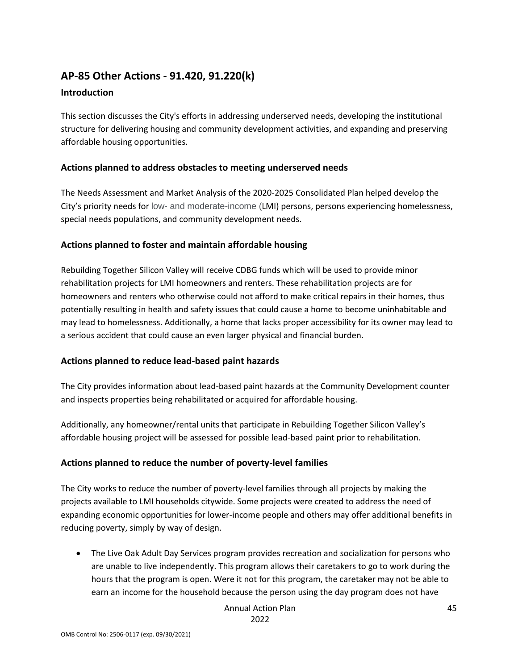# **AP-85 Other Actions - 91.420, 91.220(k)**

#### **Introduction**

This section discusses the City's efforts in addressing underserved needs, developing the institutional structure for delivering housing and community development activities, and expanding and preserving affordable housing opportunities.

#### **Actions planned to address obstacles to meeting underserved needs**

The Needs Assessment and Market Analysis of the 2020-2025 Consolidated Plan helped develop the City's priority needs for low- and moderate-income (LMI) persons, persons experiencing homelessness, special needs populations, and community development needs.

#### **Actions planned to foster and maintain affordable housing**

Rebuilding Together Silicon Valley will receive CDBG funds which will be used to provide minor rehabilitation projects for LMI homeowners and renters. These rehabilitation projects are for homeowners and renters who otherwise could not afford to make critical repairs in their homes, thus potentially resulting in health and safety issues that could cause a home to become uninhabitable and may lead to homelessness. Additionally, a home that lacks proper accessibility for its owner may lead to a serious accident that could cause an even larger physical and financial burden.

#### **Actions planned to reduce lead-based paint hazards**

The City provides information about lead-based paint hazards at the Community Development counter and inspects properties being rehabilitated or acquired for affordable housing.

Additionally, any homeowner/rental units that participate in Rebuilding Together Silicon Valley's affordable housing project will be assessed for possible lead-based paint prior to rehabilitation.

#### **Actions planned to reduce the number of poverty-level families**

The City works to reduce the number of poverty-level families through all projects by making the projects available to LMI households citywide. Some projects were created to address the need of expanding economic opportunities for lower-income people and others may offer additional benefits in reducing poverty, simply by way of design.

• The Live Oak Adult Day Services program provides recreation and socialization for persons who are unable to live independently. This program allows their caretakers to go to work during the hours that the program is open. Were it not for this program, the caretaker may not be able to earn an income for the household because the person using the day program does not have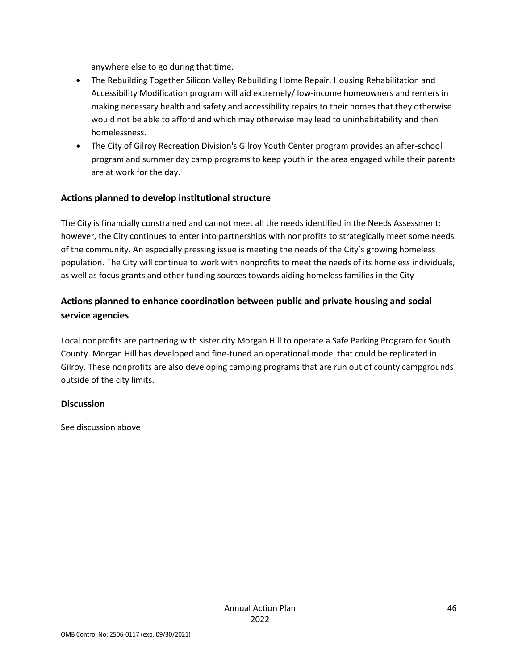anywhere else to go during that time.

- The Rebuilding Together Silicon Valley Rebuilding Home Repair, Housing Rehabilitation and Accessibility Modification program will aid extremely/ low-income homeowners and renters in making necessary health and safety and accessibility repairs to their homes that they otherwise would not be able to afford and which may otherwise may lead to uninhabitability and then homelessness.
- The City of Gilroy Recreation Division's Gilroy Youth Center program provides an after-school program and summer day camp programs to keep youth in the area engaged while their parents are at work for the day.

#### **Actions planned to develop institutional structure**

The City is financially constrained and cannot meet all the needs identified in the Needs Assessment; however, the City continues to enter into partnerships with nonprofits to strategically meet some needs of the community. An especially pressing issue is meeting the needs of the City's growing homeless population. The City will continue to work with nonprofits to meet the needs of its homeless individuals, as well as focus grants and other funding sources towards aiding homeless families in the City

## **Actions planned to enhance coordination between public and private housing and social service agencies**

Local nonprofits are partnering with sister city Morgan Hill to operate a Safe Parking Program for South County. Morgan Hill has developed and fine-tuned an operational model that could be replicated in Gilroy. These nonprofits are also developing camping programs that are run out of county campgrounds outside of the city limits.

#### **Discussion**

See discussion above